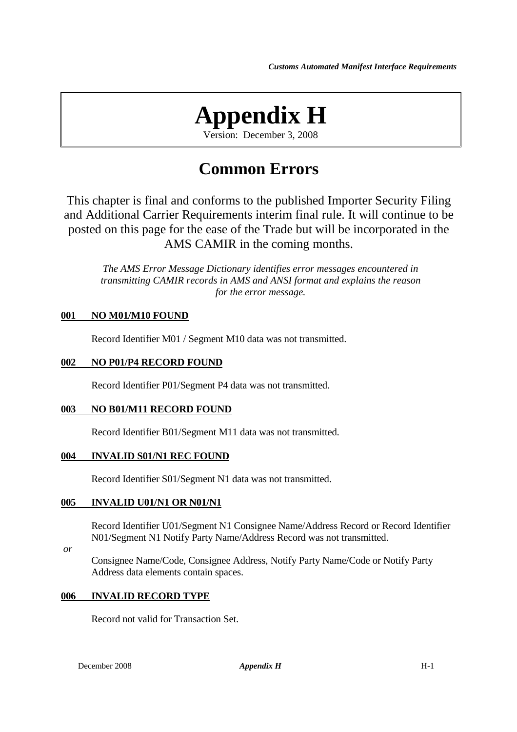# **Appendix H**

Version: December 3, 2008

# **Common Errors**

This chapter is final and conforms to the published Importer Security Filing and Additional Carrier Requirements interim final rule. It will continue to be posted on this page for the ease of the Trade but will be incorporated in the AMS CAMIR in the coming months.

*The AMS Error Message Dictionary identifies error messages encountered in transmitting CAMIR records in AMS and ANSI format and explains the reason for the error message.*

# **001 NO M01/M10 FOUND**

Record Identifier M01 / Segment M10 data was not transmitted.

#### **002 NO P01/P4 RECORD FOUND**

Record Identifier P01/Segment P4 data was not transmitted.

#### **003 NO B01/M11 RECORD FOUND**

Record Identifier B01/Segment M11 data was not transmitted.

#### **004 INVALID S01/N1 REC FOUND**

Record Identifier S01/Segment N1 data was not transmitted.

#### **005 INVALID U01/N1 OR N01/N1**

Record Identifier U01/Segment N1 Consignee Name/Address Record or Record Identifier N01/Segment N1 Notify Party Name/Address Record was not transmitted.

 *or* 

Consignee Name/Code, Consignee Address, Notify Party Name/Code or Notify Party Address data elements contain spaces.

#### **006 INVALID RECORD TYPE**

Record not valid for Transaction Set.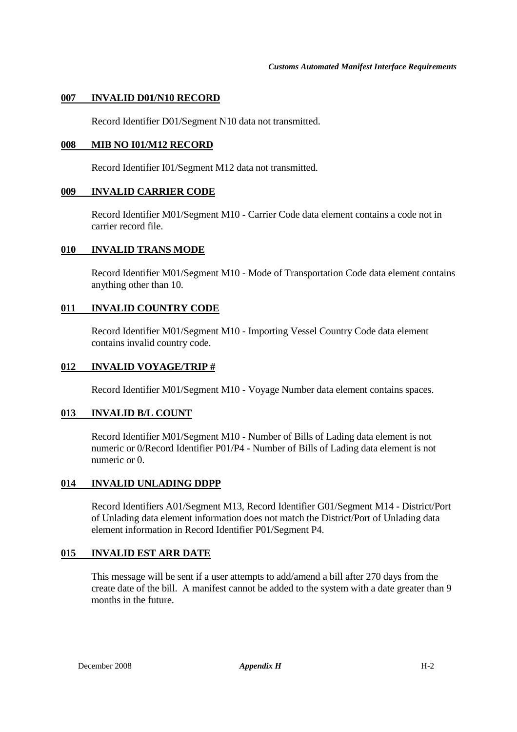#### **007 INVALID D01/N10 RECORD**

Record Identifier D01/Segment N10 data not transmitted.

# **008 MIB NO I01/M12 RECORD**

Record Identifier I01/Segment M12 data not transmitted.

#### **009 INVALID CARRIER CODE**

Record Identifier M01/Segment M10 - Carrier Code data element contains a code not in carrier record file.

#### **010 INVALID TRANS MODE**

Record Identifier M01/Segment M10 - Mode of Transportation Code data element contains anything other than 10.

#### **011 INVALID COUNTRY CODE**

Record Identifier M01/Segment M10 - Importing Vessel Country Code data element contains invalid country code.

#### **012 INVALID VOYAGE/TRIP #**

Record Identifier M01/Segment M10 - Voyage Number data element contains spaces.

#### **013 INVALID B/L COUNT**

Record Identifier M01/Segment M10 - Number of Bills of Lading data element is not numeric or 0/Record Identifier P01/P4 - Number of Bills of Lading data element is not numeric or 0.

#### **014 INVALID UNLADING DDPP**

Record Identifiers A01/Segment M13, Record Identifier G01/Segment M14 - District/Port of Unlading data element information does not match the District/Port of Unlading data element information in Record Identifier P01/Segment P4.

#### **015 INVALID EST ARR DATE**

This message will be sent if a user attempts to add/amend a bill after 270 days from the create date of the bill. A manifest cannot be added to the system with a date greater than 9 months in the future.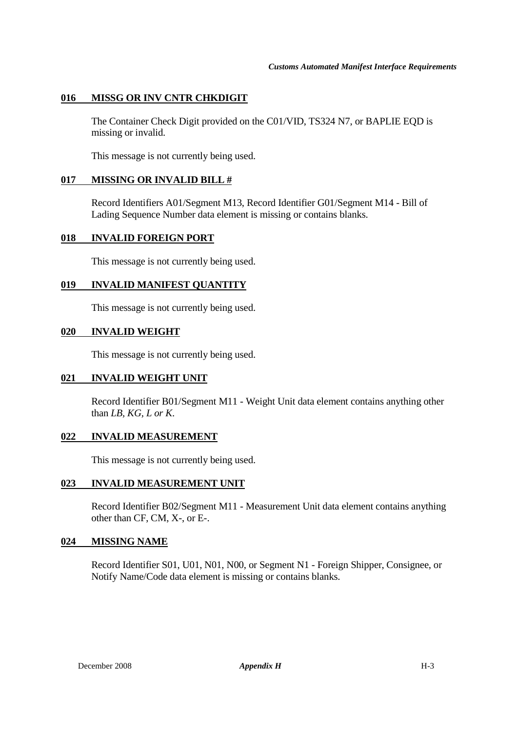# **016 MISSG OR INV CNTR CHKDIGIT**

The Container Check Digit provided on the C01/VID, TS324 N7, or BAPLIE EQD is missing or invalid.

This message is not currently being used.

#### **017 MISSING OR INVALID BILL #**

Record Identifiers A01/Segment M13, Record Identifier G01/Segment M14 - Bill of Lading Sequence Number data element is missing or contains blanks.

#### **018 INVALID FOREIGN PORT**

This message is not currently being used.

#### **019 INVALID MANIFEST QUANTITY**

This message is not currently being used.

#### **020 INVALID WEIGHT**

This message is not currently being used.

#### **021 INVALID WEIGHT UNIT**

Record Identifier B01/Segment M11 - Weight Unit data element contains anything other than *LB, KG, L or K*.

#### **022 INVALID MEASUREMENT**

This message is not currently being used.

#### **023 INVALID MEASUREMENT UNIT**

Record Identifier B02/Segment M11 - Measurement Unit data element contains anything other than CF, CM, X-, or E-.

#### **024 MISSING NAME**

Record Identifier S01, U01, N01, N00, or Segment N1 - Foreign Shipper, Consignee, or Notify Name/Code data element is missing or contains blanks.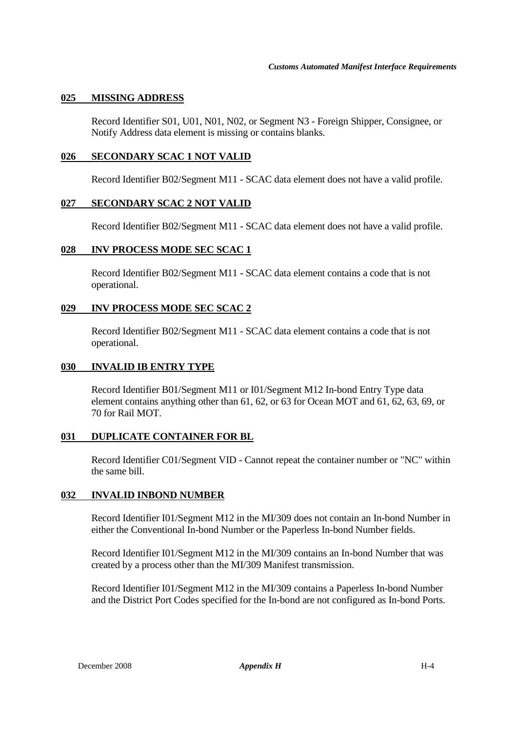#### **025 MISSING ADDRESS**

Record Identifier S01, U01, N01, N02, or Segment N3 - Foreign Shipper, Consignee, or Notify Address data element is missing or contains blanks.

#### **026 SECONDARY SCAC 1 NOT VALID**

Record Identifier B02/Segment M11 - SCAC data element does not have a valid profile.

#### **027 SECONDARY SCAC 2 NOT VALID**

Record Identifier B02/Segment M11 - SCAC data element does not have a valid profile.

#### **028 INV PROCESS MODE SEC SCAC 1**

Record Identifier B02/Segment M11 - SCAC data element contains a code that is not operational.

# **029 INV PROCESS MODE SEC SCAC 2**

Record Identifier B02/Segment M11 - SCAC data element contains a code that is not operational.

#### **030 INVALID IB ENTRY TYPE**

Record Identifier B01/Segment M11 or I01/Segment M12 In-bond Entry Type data element contains anything other than 61, 62, or 63 for Ocean MOT and 61, 62, 63, 69, or 70 for Rail MOT.

#### **031 DUPLICATE CONTAINER FOR BL**

Record Identifier C01/Segment VID - Cannot repeat the container number or "NC" within the same bill.

#### **032 INVALID INBOND NUMBER**

Record Identifier I01/Segment M12 in the MI/309 does not contain an In-bond Number in either the Conventional In-bond Number or the Paperless In-bond Number fields.

Record Identifier I01/Segment M12 in the MI/309 contains an In-bond Number that was created by a process other than the MI/309 Manifest transmission.

Record Identifier I01/Segment M12 in the MI/309 contains a Paperless In-bond Number and the District Port Codes specified for the In-bond are not configured as In-bond Ports.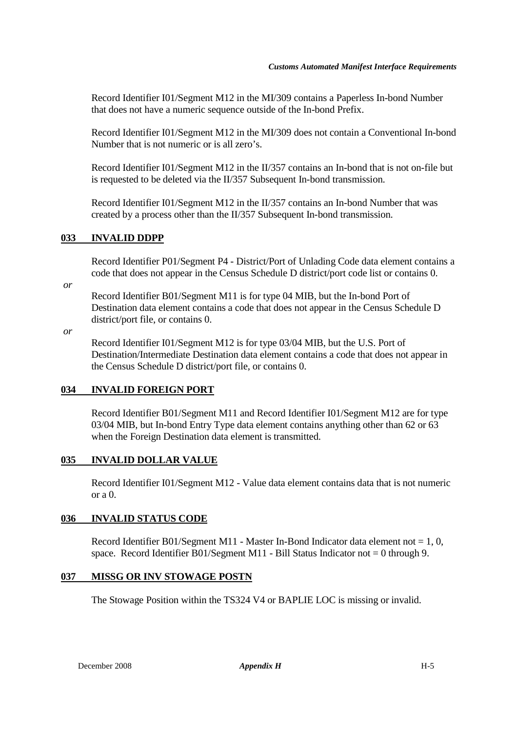Record Identifier I01/Segment M12 in the MI/309 contains a Paperless In-bond Number that does not have a numeric sequence outside of the In-bond Prefix.

Record Identifier I01/Segment M12 in the MI/309 does not contain a Conventional In-bond Number that is not numeric or is all zero's.

Record Identifier I01/Segment M12 in the II/357 contains an In-bond that is not on-file but is requested to be deleted via the II/357 Subsequent In-bond transmission.

Record Identifier I01/Segment M12 in the II/357 contains an In-bond Number that was created by a process other than the II/357 Subsequent In-bond transmission.

# **033 INVALID DDPP**

Record Identifier P01/Segment P4 - District/Port of Unlading Code data element contains a code that does not appear in the Census Schedule D district/port code list or contains 0.

 *or* 

Record Identifier B01/Segment M11 is for type 04 MIB, but the In-bond Port of Destination data element contains a code that does not appear in the Census Schedule D district/port file, or contains 0.

 *or* 

Record Identifier I01/Segment M12 is for type 03/04 MIB, but the U.S. Port of Destination/Intermediate Destination data element contains a code that does not appear in the Census Schedule D district/port file, or contains 0.

#### **034 INVALID FOREIGN PORT**

Record Identifier B01/Segment M11 and Record Identifier I01/Segment M12 are for type 03/04 MIB, but In-bond Entry Type data element contains anything other than 62 or 63 when the Foreign Destination data element is transmitted.

#### **035 INVALID DOLLAR VALUE**

Record Identifier I01/Segment M12 - Value data element contains data that is not numeric or  $a<sub>0</sub>$ .

#### **036 INVALID STATUS CODE**

Record Identifier B01/Segment M11 - Master In-Bond Indicator data element not  $= 1, 0$ , space. Record Identifier B01/Segment M11 - Bill Status Indicator not = 0 through 9.

#### **037 MISSG OR INV STOWAGE POSTN**

The Stowage Position within the TS324 V4 or BAPLIE LOC is missing or invalid.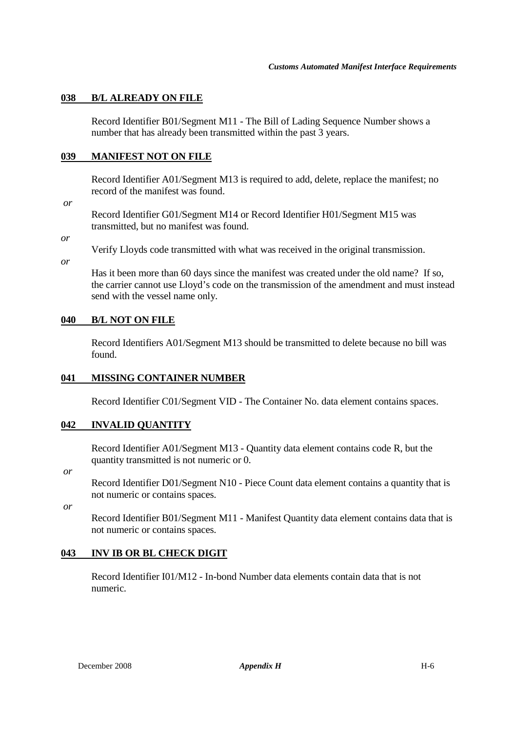# **038 B/L ALREADY ON FILE**

Record Identifier B01/Segment M11 - The Bill of Lading Sequence Number shows a number that has already been transmitted within the past 3 years.

# **039 MANIFEST NOT ON FILE**

Record Identifier A01/Segment M13 is required to add, delete, replace the manifest; no record of the manifest was found.

 *or* 

Record Identifier G01/Segment M14 or Record Identifier H01/Segment M15 was transmitted, but no manifest was found.

*or* 

Verify Lloyds code transmitted with what was received in the original transmission.

*or* 

Has it been more than 60 days since the manifest was created under the old name? If so, the carrier cannot use Lloyd's code on the transmission of the amendment and must instead send with the vessel name only.

# **040 B/L NOT ON FILE**

Record Identifiers A01/Segment M13 should be transmitted to delete because no bill was found.

#### **041 MISSING CONTAINER NUMBER**

Record Identifier C01/Segment VID - The Container No. data element contains spaces.

#### **042 INVALID QUANTITY**

Record Identifier A01/Segment M13 - Quantity data element contains code R, but the quantity transmitted is not numeric or 0.

 *or*

Record Identifier D01/Segment N10 - Piece Count data element contains a quantity that is not numeric or contains spaces.

 *or* 

Record Identifier B01/Segment M11 - Manifest Quantity data element contains data that is not numeric or contains spaces.

# **043 INV IB OR BL CHECK DIGIT**

Record Identifier I01/M12 - In-bond Number data elements contain data that is not numeric.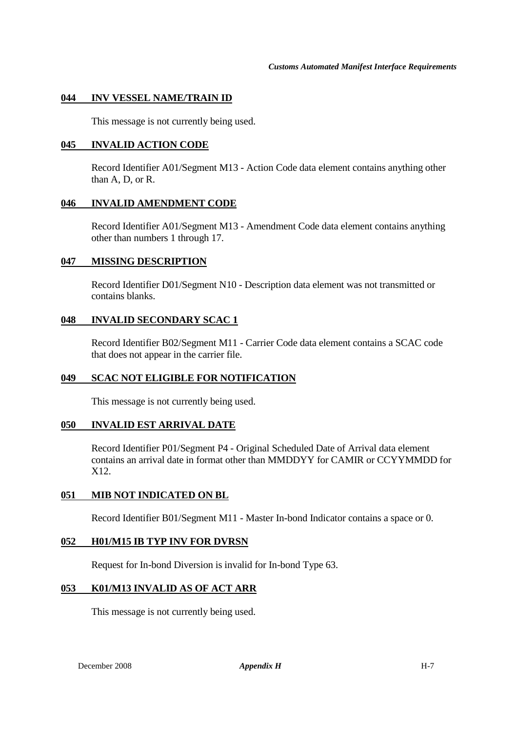#### **044 INV VESSEL NAME/TRAIN ID**

This message is not currently being used.

#### **045 INVALID ACTION CODE**

Record Identifier A01/Segment M13 - Action Code data element contains anything other than A, D, or R.

#### **046 INVALID AMENDMENT CODE**

Record Identifier A01/Segment M13 - Amendment Code data element contains anything other than numbers 1 through 17.

#### **047 MISSING DESCRIPTION**

Record Identifier D01/Segment N10 - Description data element was not transmitted or contains blanks.

#### **048 INVALID SECONDARY SCAC 1**

Record Identifier B02/Segment M11 - Carrier Code data element contains a SCAC code that does not appear in the carrier file.

#### **049 SCAC NOT ELIGIBLE FOR NOTIFICATION**

This message is not currently being used.

#### **050 INVALID EST ARRIVAL DATE**

Record Identifier P01/Segment P4 - Original Scheduled Date of Arrival data element contains an arrival date in format other than MMDDYY for CAMIR or CCYYMMDD for X12.

#### **051 MIB NOT INDICATED ON BL**

Record Identifier B01/Segment M11 - Master In-bond Indicator contains a space or 0.

#### **052 H01/M15 IB TYP INV FOR DVRSN**

Request for In-bond Diversion is invalid for In-bond Type 63.

#### **053 K01/M13 INVALID AS OF ACT ARR**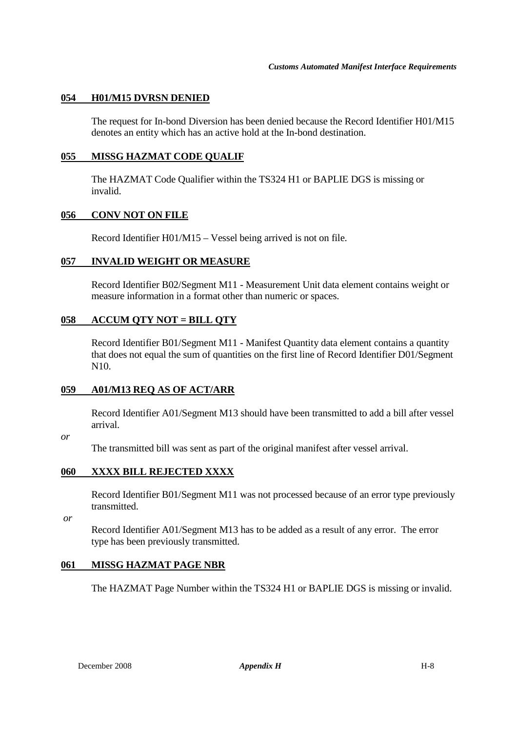#### **054 H01/M15 DVRSN DENIED**

The request for In-bond Diversion has been denied because the Record Identifier H01/M15 denotes an entity which has an active hold at the In-bond destination.

#### **055 MISSG HAZMAT CODE QUALIF**

The HAZMAT Code Qualifier within the TS324 H1 or BAPLIE DGS is missing or invalid.

#### **056 CONV NOT ON FILE**

Record Identifier H01/M15 – Vessel being arrived is not on file.

#### **057 INVALID WEIGHT OR MEASURE**

Record Identifier B02/Segment M11 - Measurement Unit data element contains weight or measure information in a format other than numeric or spaces.

#### **058 ACCUM QTY NOT = BILL QTY**

Record Identifier B01/Segment M11 - Manifest Quantity data element contains a quantity that does not equal the sum of quantities on the first line of Record Identifier D01/Segment N10.

#### **059 A01/M13 REQ AS OF ACT/ARR**

Record Identifier A01/Segment M13 should have been transmitted to add a bill after vessel arrival.

#### *or*

The transmitted bill was sent as part of the original manifest after vessel arrival.

#### **060 XXXX BILL REJECTED XXXX**

Record Identifier B01/Segment M11 was not processed because of an error type previously transmitted.

 *or*

Record Identifier A01/Segment M13 has to be added as a result of any error. The error type has been previously transmitted.

#### **061 MISSG HAZMAT PAGE NBR**

The HAZMAT Page Number within the TS324 H1 or BAPLIE DGS is missing or invalid.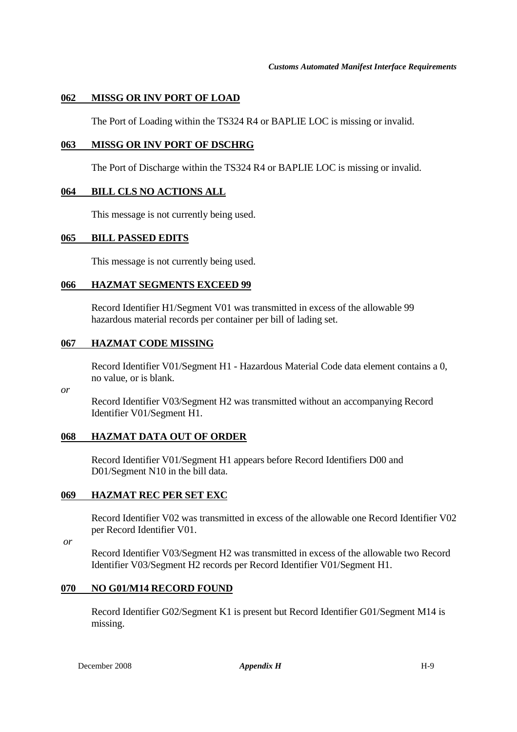# **062 MISSG OR INV PORT OF LOAD**

The Port of Loading within the TS324 R4 or BAPLIE LOC is missing or invalid.

#### **063 MISSG OR INV PORT OF DSCHRG**

The Port of Discharge within the TS324 R4 or BAPLIE LOC is missing or invalid.

#### **064 BILL CLS NO ACTIONS ALL**

This message is not currently being used.

#### **065 BILL PASSED EDITS**

This message is not currently being used.

#### **066 HAZMAT SEGMENTS EXCEED 99**

Record Identifier H1/Segment V01 was transmitted in excess of the allowable 99 hazardous material records per container per bill of lading set.

#### **067 HAZMAT CODE MISSING**

Record Identifier V01/Segment H1 - Hazardous Material Code data element contains a 0, no value, or is blank.

*or*

Record Identifier V03/Segment H2 was transmitted without an accompanying Record Identifier V01/Segment H1.

#### **068 HAZMAT DATA OUT OF ORDER**

Record Identifier V01/Segment H1 appears before Record Identifiers D00 and D01/Segment N10 in the bill data.

#### **069 HAZMAT REC PER SET EXC**

Record Identifier V02 was transmitted in excess of the allowable one Record Identifier V02 per Record Identifier V01.

 *or* 

Record Identifier V03/Segment H2 was transmitted in excess of the allowable two Record Identifier V03/Segment H2 records per Record Identifier V01/Segment H1.

#### **070 NO G01/M14 RECORD FOUND**

Record Identifier G02/Segment K1 is present but Record Identifier G01/Segment M14 is missing.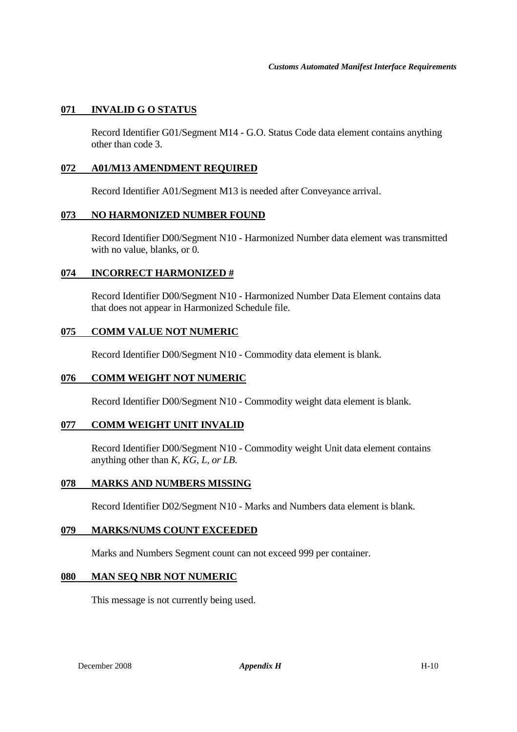# **071 INVALID G O STATUS**

Record Identifier G01/Segment M14 - G.O. Status Code data element contains anything other than code 3.

#### **072 A01/M13 AMENDMENT REQUIRED**

Record Identifier A01/Segment M13 is needed after Conveyance arrival.

#### **073 NO HARMONIZED NUMBER FOUND**

Record Identifier D00/Segment N10 - Harmonized Number data element was transmitted with no value, blanks, or 0.

#### **074 INCORRECT HARMONIZED #**

Record Identifier D00/Segment N10 - Harmonized Number Data Element contains data that does not appear in Harmonized Schedule file.

#### **075 COMM VALUE NOT NUMERIC**

Record Identifier D00/Segment N10 - Commodity data element is blank.

#### **076 COMM WEIGHT NOT NUMERIC**

Record Identifier D00/Segment N10 - Commodity weight data element is blank.

#### **077 COMM WEIGHT UNIT INVALID**

Record Identifier D00/Segment N10 - Commodity weight Unit data element contains anything other than *K, KG, L, or LB*.

#### **078 MARKS AND NUMBERS MISSING**

Record Identifier D02/Segment N10 - Marks and Numbers data element is blank.

#### **079 MARKS/NUMS COUNT EXCEEDED**

Marks and Numbers Segment count can not exceed 999 per container.

#### **080 MAN SEQ NBR NOT NUMERIC**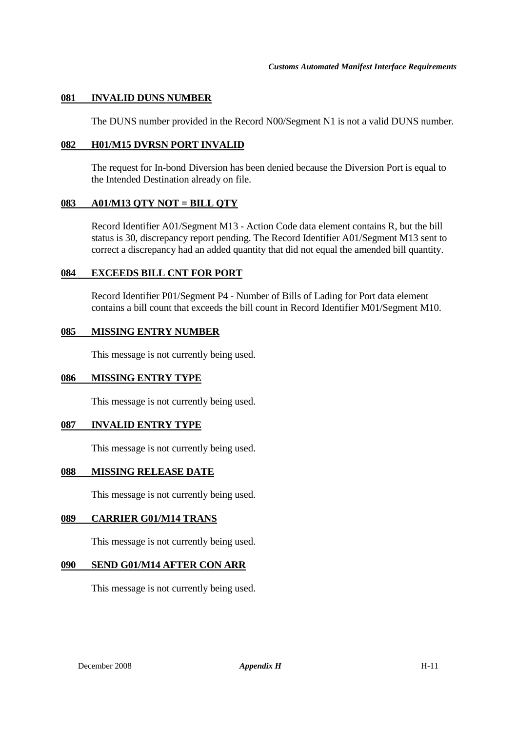#### **081 INVALID DUNS NUMBER**

The DUNS number provided in the Record N00/Segment N1 is not a valid DUNS number.

#### **082 H01/M15 DVRSN PORT INVALID**

The request for In-bond Diversion has been denied because the Diversion Port is equal to the Intended Destination already on file.

#### **083 A01/M13 QTY NOT = BILL QTY**

Record Identifier A01/Segment M13 - Action Code data element contains R, but the bill status is 30, discrepancy report pending. The Record Identifier A01/Segment M13 sent to correct a discrepancy had an added quantity that did not equal the amended bill quantity.

#### **084 EXCEEDS BILL CNT FOR PORT**

Record Identifier P01/Segment P4 - Number of Bills of Lading for Port data element contains a bill count that exceeds the bill count in Record Identifier M01/Segment M10.

#### **085 MISSING ENTRY NUMBER**

This message is not currently being used.

#### **086 MISSING ENTRY TYPE**

This message is not currently being used.

#### **087 INVALID ENTRY TYPE**

This message is not currently being used.

#### **088 MISSING RELEASE DATE**

This message is not currently being used.

#### **089 CARRIER G01/M14 TRANS**

This message is not currently being used.

#### **090 SEND G01/M14 AFTER CON ARR**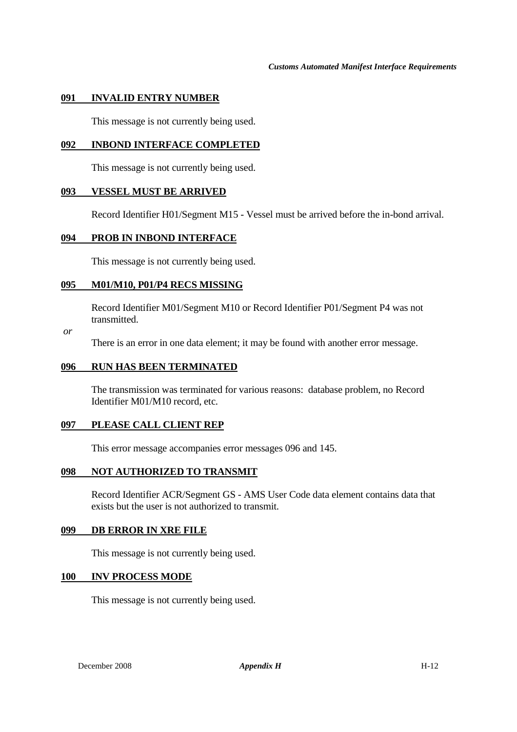#### **091 INVALID ENTRY NUMBER**

This message is not currently being used.

#### **092 INBOND INTERFACE COMPLETED**

This message is not currently being used.

#### **093 VESSEL MUST BE ARRIVED**

Record Identifier H01/Segment M15 - Vessel must be arrived before the in-bond arrival.

#### **094 PROB IN INBOND INTERFACE**

This message is not currently being used.

#### **095 M01/M10, P01/P4 RECS MISSING**

Record Identifier M01/Segment M10 or Record Identifier P01/Segment P4 was not transmitted.

 *or* 

There is an error in one data element; it may be found with another error message.

#### **096 RUN HAS BEEN TERMINATED**

The transmission was terminated for various reasons: database problem, no Record Identifier M01/M10 record, etc.

#### **097 PLEASE CALL CLIENT REP**

This error message accompanies error messages 096 and 145.

#### **098 NOT AUTHORIZED TO TRANSMIT**

Record Identifier ACR/Segment GS - AMS User Code data element contains data that exists but the user is not authorized to transmit.

#### **099 DB ERROR IN XRE FILE**

This message is not currently being used.

#### **100 INV PROCESS MODE**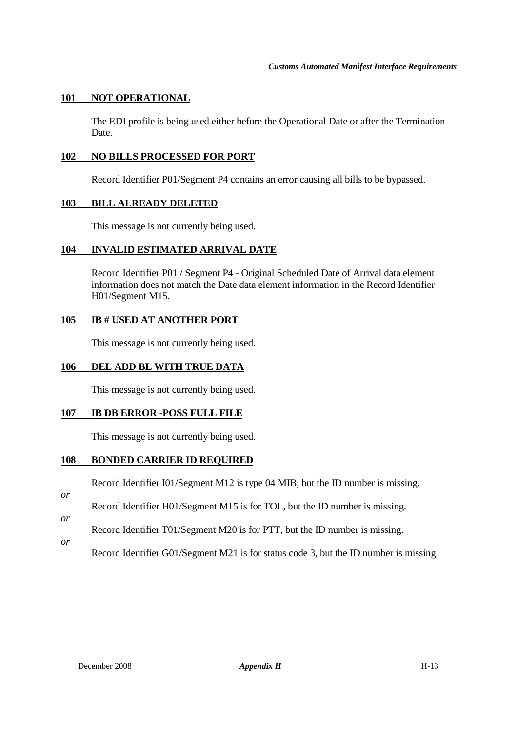# **101 NOT OPERATIONAL**

The EDI profile is being used either before the Operational Date or after the Termination Date.

#### **102 NO BILLS PROCESSED FOR PORT**

Record Identifier P01/Segment P4 contains an error causing all bills to be bypassed.

#### **103 BILL ALREADY DELETED**

This message is not currently being used.

#### **104 INVALID ESTIMATED ARRIVAL DATE**

Record Identifier P01 / Segment P4 - Original Scheduled Date of Arrival data element information does not match the Date data element information in the Record Identifier H01/Segment M15.

#### **105 IB # USED AT ANOTHER PORT**

This message is not currently being used.

#### **106 DEL ADD BL WITH TRUE DATA**

This message is not currently being used.

#### **107 IB DB ERROR -POSS FULL FILE**

This message is not currently being used.

#### **108 BONDED CARRIER ID REQUIRED**

Record Identifier I01/Segment M12 is type 04 MIB, but the ID number is missing.

- Record Identifier H01/Segment M15 is for TOL, but the ID number is missing.
- Record Identifier T01/Segment M20 is for PTT, but the ID number is missing.
- *or*

*or* 

*or* 

Record Identifier G01/Segment M21 is for status code 3, but the ID number is missing.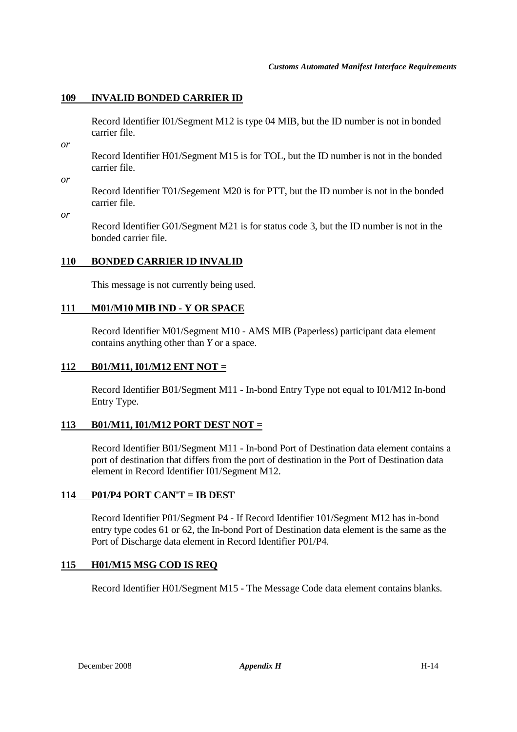# **109 INVALID BONDED CARRIER ID**

Record Identifier I01/Segment M12 is type 04 MIB, but the ID number is not in bonded carrier file.

*or* 

Record Identifier H01/Segment M15 is for TOL, but the ID number is not in the bonded carrier file.

*or* 

Record Identifier T01/Segement M20 is for PTT, but the ID number is not in the bonded carrier file.

*or* 

Record Identifier G01/Segment M21 is for status code 3, but the ID number is not in the bonded carrier file.

# **110 BONDED CARRIER ID INVALID**

This message is not currently being used.

# **111 M01/M10 MIB IND - Y OR SPACE**

Record Identifier M01/Segment M10 - AMS MIB (Paperless) participant data element contains anything other than *Y* or a space.

#### **112 B01/M11, I01/M12 ENT NOT =**

Record Identifier B01/Segment M11 - In-bond Entry Type not equal to I01/M12 In-bond Entry Type.

#### **113 B01/M11, I01/M12 PORT DEST NOT =**

Record Identifier B01/Segment M11 - In-bond Port of Destination data element contains a port of destination that differs from the port of destination in the Port of Destination data element in Record Identifier I01/Segment M12.

#### **114 P01/P4 PORT CAN'T = IB DEST**

Record Identifier P01/Segment P4 - If Record Identifier 101/Segment M12 has in-bond entry type codes 61 or 62, the In-bond Port of Destination data element is the same as the Port of Discharge data element in Record Identifier P01/P4.

#### **115 H01/M15 MSG COD IS REQ**

Record Identifier H01/Segment M15 - The Message Code data element contains blanks.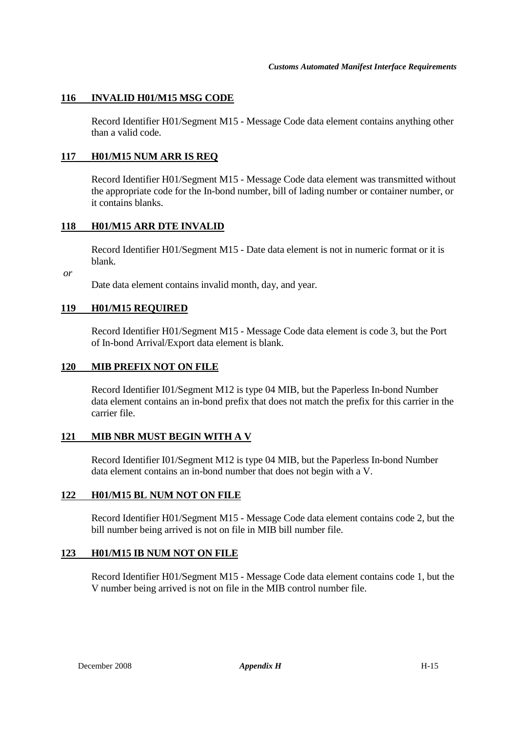# **116 INVALID H01/M15 MSG CODE**

Record Identifier H01/Segment M15 - Message Code data element contains anything other than a valid code.

#### **117 H01/M15 NUM ARR IS REQ**

Record Identifier H01/Segment M15 - Message Code data element was transmitted without the appropriate code for the In-bond number, bill of lading number or container number, or it contains blanks.

#### **118 H01/M15 ARR DTE INVALID**

Record Identifier H01/Segment M15 - Date data element is not in numeric format or it is blank.

 *or* 

Date data element contains invalid month, day, and year.

# **119 H01/M15 REQUIRED**

Record Identifier H01/Segment M15 - Message Code data element is code 3, but the Port of In-bond Arrival/Export data element is blank.

#### **120 MIB PREFIX NOT ON FILE**

Record Identifier I01/Segment M12 is type 04 MIB, but the Paperless In-bond Number data element contains an in-bond prefix that does not match the prefix for this carrier in the carrier file.

#### **121 MIB NBR MUST BEGIN WITH A V**

Record Identifier I01/Segment M12 is type 04 MIB, but the Paperless In-bond Number data element contains an in-bond number that does not begin with a V.

#### **122 H01/M15 BL NUM NOT ON FILE**

Record Identifier H01/Segment M15 - Message Code data element contains code 2, but the bill number being arrived is not on file in MIB bill number file.

#### **123 H01/M15 IB NUM NOT ON FILE**

Record Identifier H01/Segment M15 - Message Code data element contains code 1, but the V number being arrived is not on file in the MIB control number file.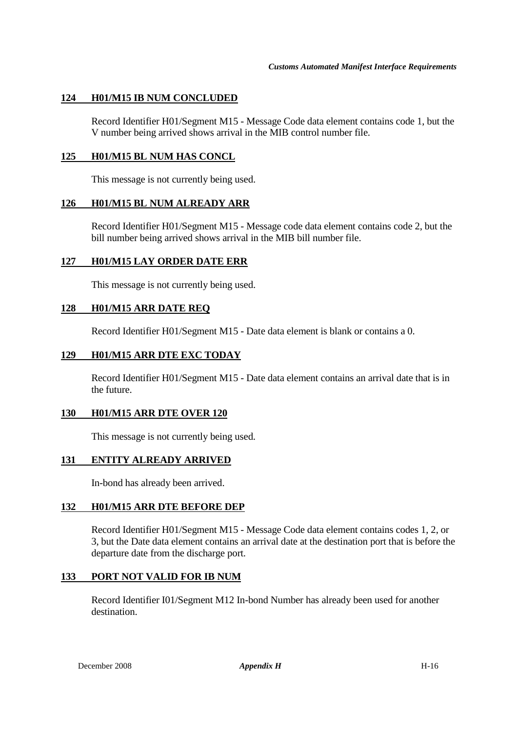#### **124 H01/M15 IB NUM CONCLUDED**

Record Identifier H01/Segment M15 - Message Code data element contains code 1, but the V number being arrived shows arrival in the MIB control number file.

#### **125 H01/M15 BL NUM HAS CONCL**

This message is not currently being used.

#### **126 H01/M15 BL NUM ALREADY ARR**

Record Identifier H01/Segment M15 - Message code data element contains code 2, but the bill number being arrived shows arrival in the MIB bill number file.

#### **127 H01/M15 LAY ORDER DATE ERR**

This message is not currently being used.

# **128 H01/M15 ARR DATE REQ**

Record Identifier H01/Segment M15 - Date data element is blank or contains a 0.

#### **129 H01/M15 ARR DTE EXC TODAY**

Record Identifier H01/Segment M15 - Date data element contains an arrival date that is in the future.

#### **130 H01/M15 ARR DTE OVER 120**

This message is not currently being used.

#### **131 ENTITY ALREADY ARRIVED**

In-bond has already been arrived.

#### **132 H01/M15 ARR DTE BEFORE DEP**

Record Identifier H01/Segment M15 - Message Code data element contains codes 1, 2, or 3, but the Date data element contains an arrival date at the destination port that is before the departure date from the discharge port.

#### **133 PORT NOT VALID FOR IB NUM**

Record Identifier I01/Segment M12 In-bond Number has already been used for another destination.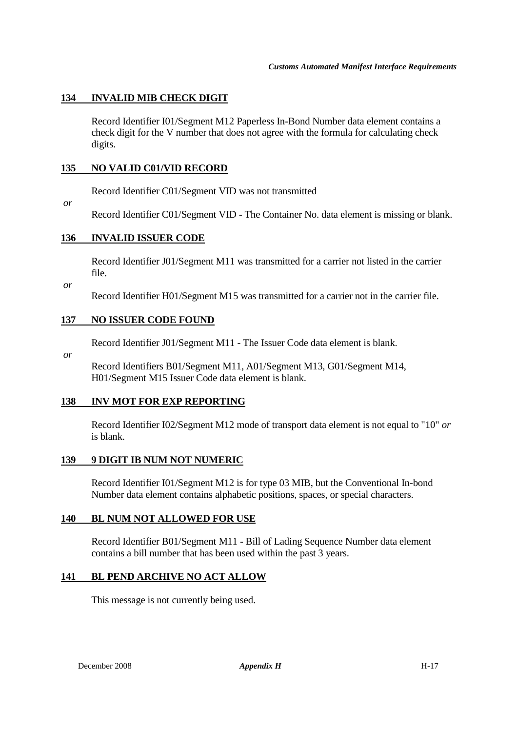# **134 INVALID MIB CHECK DIGIT**

Record Identifier I01/Segment M12 Paperless In-Bond Number data element contains a check digit for the V number that does not agree with the formula for calculating check digits.

#### **135 NO VALID C01/VID RECORD**

Record Identifier C01/Segment VID was not transmitted

 *or* 

Record Identifier C01/Segment VID - The Container No. data element is missing or blank.

#### **136 INVALID ISSUER CODE**

Record Identifier J01/Segment M11 was transmitted for a carrier not listed in the carrier file.

 *or* 

Record Identifier H01/Segment M15 was transmitted for a carrier not in the carrier file.

#### **137 NO ISSUER CODE FOUND**

Record Identifier J01/Segment M11 - The Issuer Code data element is blank.

 *or*

Record Identifiers B01/Segment M11, A01/Segment M13, G01/Segment M14, H01/Segment M15 Issuer Code data element is blank.

#### **138 INV MOT FOR EXP REPORTING**

Record Identifier I02/Segment M12 mode of transport data element is not equal to "10" *or* is blank.

#### **139 9 DIGIT IB NUM NOT NUMERIC**

Record Identifier I01/Segment M12 is for type 03 MIB, but the Conventional In-bond Number data element contains alphabetic positions, spaces, or special characters.

#### **140 BL NUM NOT ALLOWED FOR USE**

Record Identifier B01/Segment M11 - Bill of Lading Sequence Number data element contains a bill number that has been used within the past 3 years.

#### **141 BL PEND ARCHIVE NO ACT ALLOW**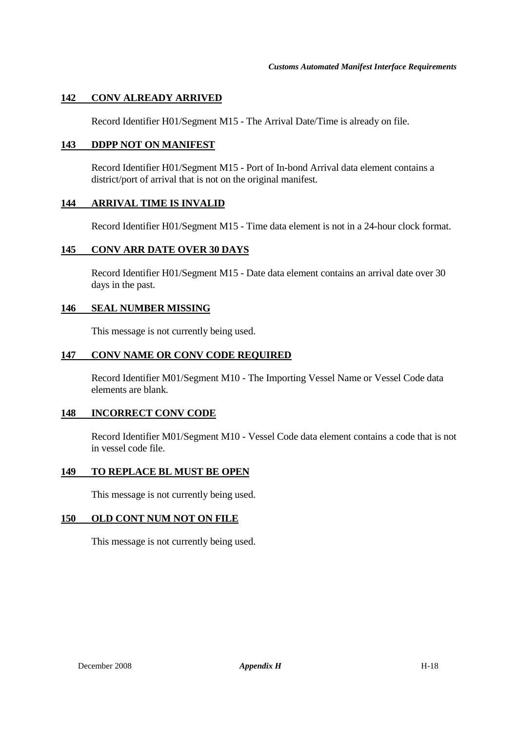# **142 CONV ALREADY ARRIVED**

Record Identifier H01/Segment M15 - The Arrival Date/Time is already on file.

#### **143 DDPP NOT ON MANIFEST**

Record Identifier H01/Segment M15 - Port of In-bond Arrival data element contains a district/port of arrival that is not on the original manifest.

#### **144 ARRIVAL TIME IS INVALID**

Record Identifier H01/Segment M15 - Time data element is not in a 24-hour clock format.

#### **145 CONV ARR DATE OVER 30 DAYS**

Record Identifier H01/Segment M15 - Date data element contains an arrival date over 30 days in the past.

#### **146 SEAL NUMBER MISSING**

This message is not currently being used.

#### **147 CONV NAME OR CONV CODE REQUIRED**

Record Identifier M01/Segment M10 - The Importing Vessel Name or Vessel Code data elements are blank.

#### **148 INCORRECT CONV CODE**

Record Identifier M01/Segment M10 - Vessel Code data element contains a code that is not in vessel code file.

#### **149 TO REPLACE BL MUST BE OPEN**

This message is not currently being used.

#### **150 OLD CONT NUM NOT ON FILE**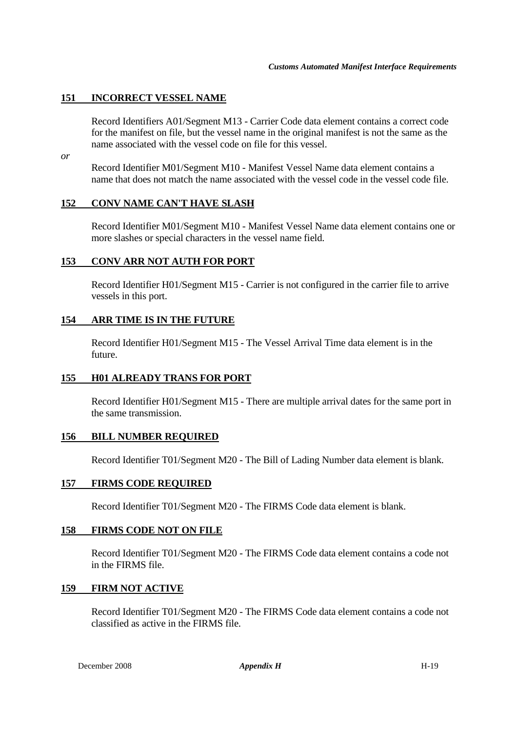# **151 INCORRECT VESSEL NAME**

Record Identifiers A01/Segment M13 - Carrier Code data element contains a correct code for the manifest on file, but the vessel name in the original manifest is not the same as the name associated with the vessel code on file for this vessel.

*or* 

Record Identifier M01/Segment M10 - Manifest Vessel Name data element contains a name that does not match the name associated with the vessel code in the vessel code file.

#### **152 CONV NAME CAN'T HAVE SLASH**

Record Identifier M01/Segment M10 - Manifest Vessel Name data element contains one or more slashes or special characters in the vessel name field.

#### **153 CONV ARR NOT AUTH FOR PORT**

Record Identifier H01/Segment M15 - Carrier is not configured in the carrier file to arrive vessels in this port.

#### **154 ARR TIME IS IN THE FUTURE**

Record Identifier H01/Segment M15 - The Vessel Arrival Time data element is in the future.

#### **155 H01 ALREADY TRANS FOR PORT**

Record Identifier H01/Segment M15 - There are multiple arrival dates for the same port in the same transmission.

#### **156 BILL NUMBER REQUIRED**

Record Identifier T01/Segment M20 - The Bill of Lading Number data element is blank.

#### **157 FIRMS CODE REQUIRED**

Record Identifier T01/Segment M20 - The FIRMS Code data element is blank.

#### **158 FIRMS CODE NOT ON FILE**

Record Identifier T01/Segment M20 - The FIRMS Code data element contains a code not in the FIRMS file.

#### **159 FIRM NOT ACTIVE**

Record Identifier T01/Segment M20 - The FIRMS Code data element contains a code not classified as active in the FIRMS file.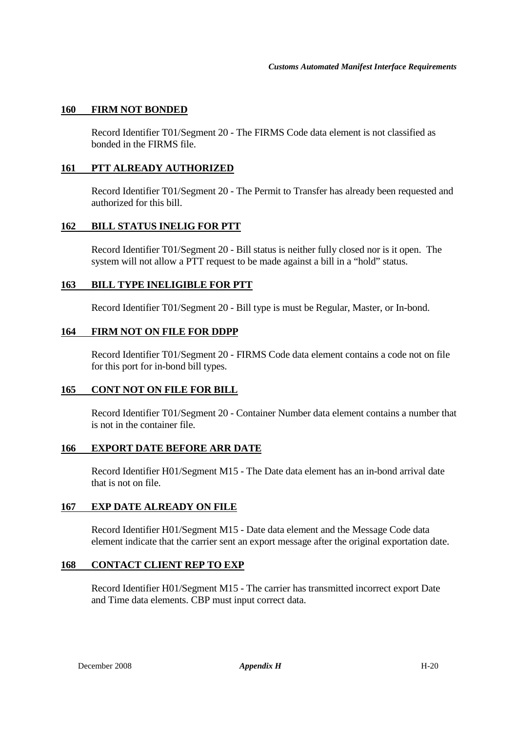#### **160 FIRM NOT BONDED**

Record Identifier T01/Segment 20 - The FIRMS Code data element is not classified as bonded in the FIRMS file.

#### **161 PTT ALREADY AUTHORIZED**

Record Identifier T01/Segment 20 - The Permit to Transfer has already been requested and authorized for this bill.

# **162 BILL STATUS INELIG FOR PTT**

Record Identifier T01/Segment 20 - Bill status is neither fully closed nor is it open. The system will not allow a PTT request to be made against a bill in a "hold" status.

# **163 BILL TYPE INELIGIBLE FOR PTT**

Record Identifier T01/Segment 20 - Bill type is must be Regular, Master, or In-bond.

#### **164 FIRM NOT ON FILE FOR DDPP**

Record Identifier T01/Segment 20 - FIRMS Code data element contains a code not on file for this port for in-bond bill types.

#### **165 CONT NOT ON FILE FOR BILL**

Record Identifier T01/Segment 20 - Container Number data element contains a number that is not in the container file.

#### **166 EXPORT DATE BEFORE ARR DATE**

Record Identifier H01/Segment M15 - The Date data element has an in-bond arrival date that is not on file.

#### **167 EXP DATE ALREADY ON FILE**

Record Identifier H01/Segment M15 - Date data element and the Message Code data element indicate that the carrier sent an export message after the original exportation date.

#### **168 CONTACT CLIENT REP TO EXP**

Record Identifier H01/Segment M15 - The carrier has transmitted incorrect export Date and Time data elements. CBP must input correct data.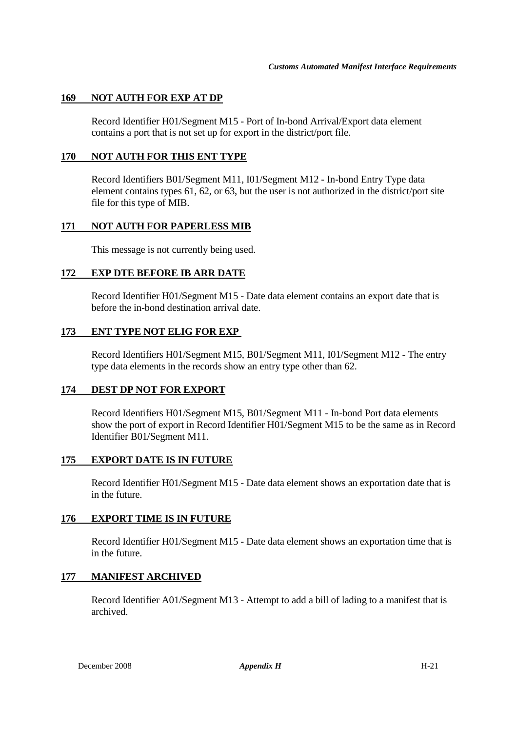# **169 NOT AUTH FOR EXP AT DP**

Record Identifier H01/Segment M15 - Port of In-bond Arrival/Export data element contains a port that is not set up for export in the district/port file.

#### **170 NOT AUTH FOR THIS ENT TYPE**

Record Identifiers B01/Segment M11, I01/Segment M12 - In-bond Entry Type data element contains types 61, 62, or 63, but the user is not authorized in the district/port site file for this type of MIB.

# **171 NOT AUTH FOR PAPERLESS MIB**

This message is not currently being used.

#### **172 EXP DTE BEFORE IB ARR DATE**

Record Identifier H01/Segment M15 - Date data element contains an export date that is before the in-bond destination arrival date.

#### **173 ENT TYPE NOT ELIG FOR EXP**

Record Identifiers H01/Segment M15, B01/Segment M11, I01/Segment M12 - The entry type data elements in the records show an entry type other than 62.

# **174 DEST DP NOT FOR EXPORT**

Record Identifiers H01/Segment M15, B01/Segment M11 - In-bond Port data elements show the port of export in Record Identifier H01/Segment M15 to be the same as in Record Identifier B01/Segment M11.

# **175 EXPORT DATE IS IN FUTURE**

Record Identifier H01/Segment M15 - Date data element shows an exportation date that is in the future.

#### **176 EXPORT TIME IS IN FUTURE**

Record Identifier H01/Segment M15 - Date data element shows an exportation time that is in the future.

#### **177 MANIFEST ARCHIVED**

Record Identifier A01/Segment M13 - Attempt to add a bill of lading to a manifest that is archived.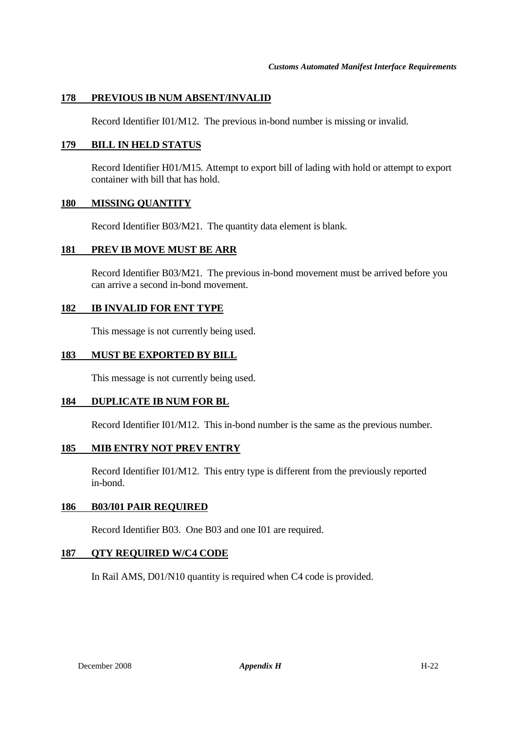# **178 PREVIOUS IB NUM ABSENT/INVALID**

Record Identifier I01/M12. The previous in-bond number is missing or invalid.

#### **179 BILL IN HELD STATUS**

Record Identifier H01/M15. Attempt to export bill of lading with hold or attempt to export container with bill that has hold.

#### **180 MISSING QUANTITY**

Record Identifier B03/M21. The quantity data element is blank.

#### **181 PREV IB MOVE MUST BE ARR**

Record Identifier B03/M21. The previous in-bond movement must be arrived before you can arrive a second in-bond movement.

#### **182 IB INVALID FOR ENT TYPE**

This message is not currently being used.

#### **183 MUST BE EXPORTED BY BILL**

This message is not currently being used.

#### **184 DUPLICATE IB NUM FOR BL**

Record Identifier I01/M12. This in-bond number is the same as the previous number.

#### **185 MIB ENTRY NOT PREV ENTRY**

Record Identifier I01/M12. This entry type is different from the previously reported in-bond.

#### **186 B03/I01 PAIR REQUIRED**

Record Identifier B03. One B03 and one I01 are required.

#### **187 QTY REQUIRED W/C4 CODE**

In Rail AMS, D01/N10 quantity is required when C4 code is provided.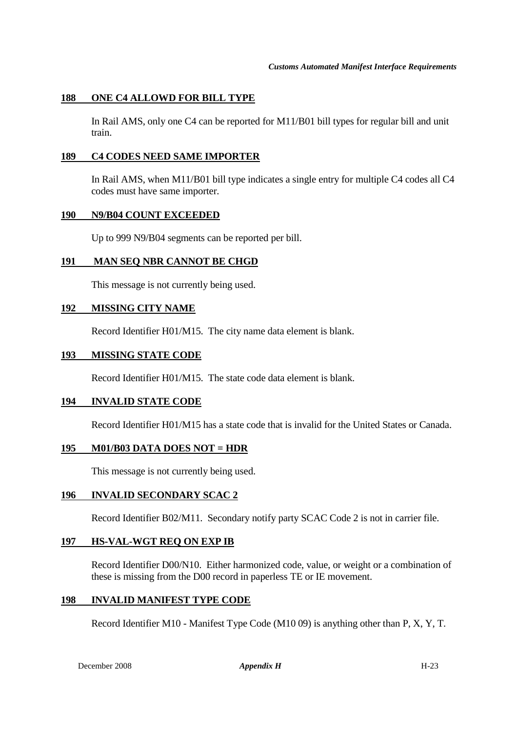# **188 ONE C4 ALLOWD FOR BILL TYPE**

In Rail AMS, only one C4 can be reported for M11/B01 bill types for regular bill and unit train.

#### **189 C4 CODES NEED SAME IMPORTER**

In Rail AMS, when M11/B01 bill type indicates a single entry for multiple C4 codes all C4 codes must have same importer.

#### **190 N9/B04 COUNT EXCEEDED**

Up to 999 N9/B04 segments can be reported per bill.

#### **191 MAN SEQ NBR CANNOT BE CHGD**

This message is not currently being used.

#### **192 MISSING CITY NAME**

Record Identifier H01/M15. The city name data element is blank.

#### **193 MISSING STATE CODE**

Record Identifier H01/M15. The state code data element is blank.

#### **194 INVALID STATE CODE**

Record Identifier H01/M15 has a state code that is invalid for the United States or Canada.

#### **195 M01/B03 DATA DOES NOT = HDR**

This message is not currently being used.

#### **196 INVALID SECONDARY SCAC 2**

Record Identifier B02/M11. Secondary notify party SCAC Code 2 is not in carrier file.

#### **197 HS-VAL-WGT REQ ON EXP IB**

Record Identifier D00/N10. Either harmonized code, value, or weight or a combination of these is missing from the D00 record in paperless TE or IE movement.

#### **198 INVALID MANIFEST TYPE CODE**

Record Identifier M10 - Manifest Type Code (M10 09) is anything other than P, X, Y, T.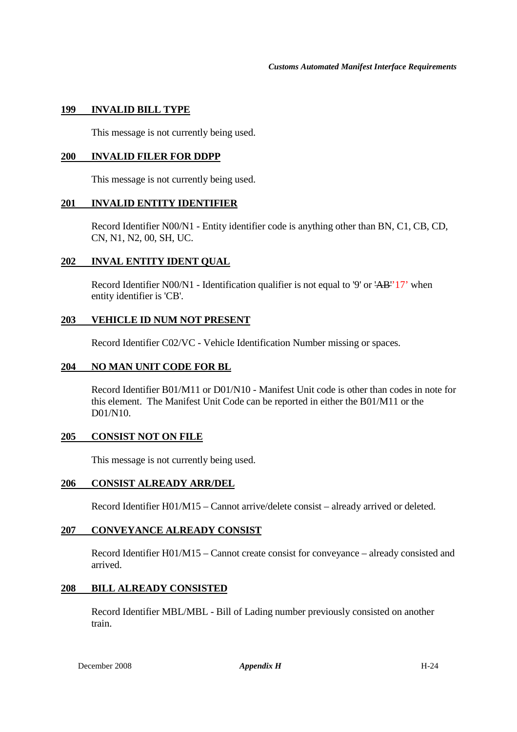#### **199 INVALID BILL TYPE**

This message is not currently being used.

# **200 INVALID FILER FOR DDPP**

This message is not currently being used.

#### **201 INVALID ENTITY IDENTIFIER**

Record Identifier N00/N1 - Entity identifier code is anything other than BN, C1, CB, CD, CN, N1, N2, 00, SH, UC.

#### **202 INVAL ENTITY IDENT QUAL**

Record Identifier N00/N1 - Identification qualifier is not equal to '9' or 'AB''17' when entity identifier is 'CB'.

#### **203 VEHICLE ID NUM NOT PRESENT**

Record Identifier C02/VC - Vehicle Identification Number missing or spaces.

#### **204 NO MAN UNIT CODE FOR BL**

Record Identifier B01/M11 or D01/N10 - Manifest Unit code is other than codes in note for this element. The Manifest Unit Code can be reported in either the B01/M11 or the D01/N10.

#### **205 CONSIST NOT ON FILE**

This message is not currently being used.

#### **206 CONSIST ALREADY ARR/DEL**

Record Identifier H01/M15 – Cannot arrive/delete consist – already arrived or deleted.

# **207 CONVEYANCE ALREADY CONSIST**

Record Identifier H01/M15 – Cannot create consist for conveyance – already consisted and arrived.

#### **208 BILL ALREADY CONSISTED**

Record Identifier MBL/MBL - Bill of Lading number previously consisted on another train.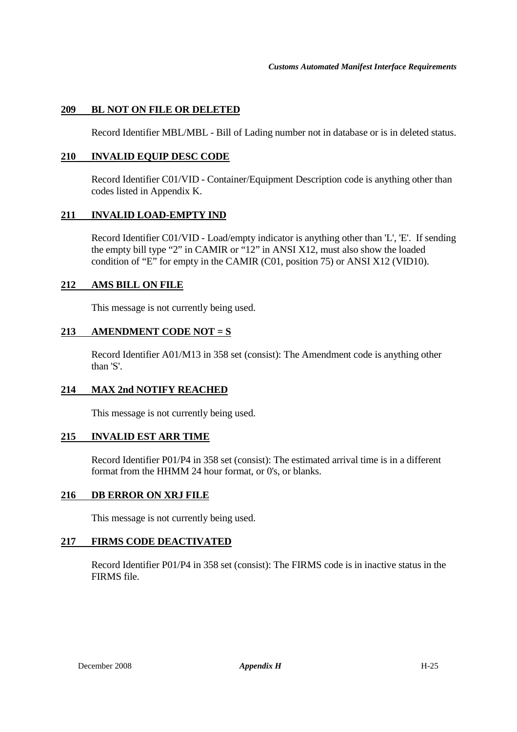# **209 BL NOT ON FILE OR DELETED**

Record Identifier MBL/MBL - Bill of Lading number not in database or is in deleted status.

# **210 INVALID EQUIP DESC CODE**

Record Identifier C01/VID - Container/Equipment Description code is anything other than codes listed in Appendix K.

#### **211 INVALID LOAD-EMPTY IND**

Record Identifier C01/VID - Load/empty indicator is anything other than 'L', 'E'. If sending the empty bill type "2" in CAMIR or "12" in ANSI X12, must also show the loaded condition of "E" for empty in the CAMIR (C01, position 75) or ANSI X12 (VID10).

# **212 AMS BILL ON FILE**

This message is not currently being used.

#### **213 AMENDMENT CODE NOT = S**

Record Identifier A01/M13 in 358 set (consist): The Amendment code is anything other than 'S'.

#### **214 MAX 2nd NOTIFY REACHED**

This message is not currently being used.

#### **215 INVALID EST ARR TIME**

Record Identifier P01/P4 in 358 set (consist): The estimated arrival time is in a different format from the HHMM 24 hour format, or 0's, or blanks.

#### **216 DB ERROR ON XRJ FILE**

This message is not currently being used.

#### **217 FIRMS CODE DEACTIVATED**

Record Identifier P01/P4 in 358 set (consist): The FIRMS code is in inactive status in the FIRMS file.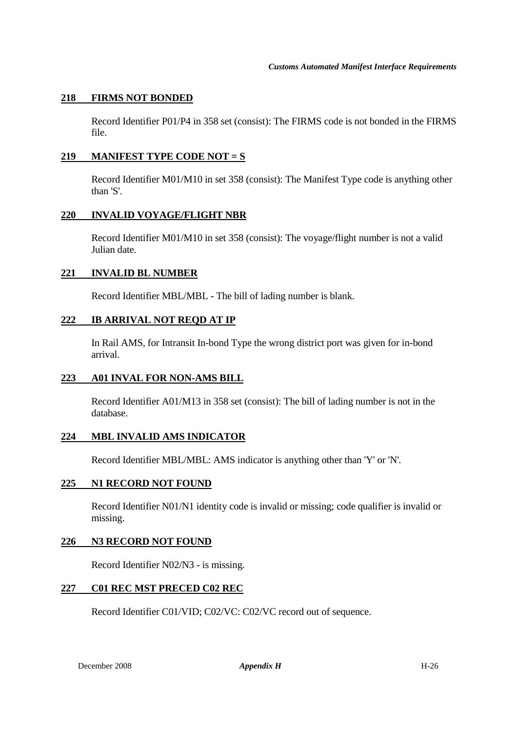#### **218 FIRMS NOT BONDED**

Record Identifier P01/P4 in 358 set (consist): The FIRMS code is not bonded in the FIRMS file.

#### **219 MANIFEST TYPE CODE NOT = S**

Record Identifier M01/M10 in set 358 (consist): The Manifest Type code is anything other than 'S'.

#### **220 INVALID VOYAGE/FLIGHT NBR**

Record Identifier M01/M10 in set 358 (consist): The voyage/flight number is not a valid Julian date.

#### **221 INVALID BL NUMBER**

Record Identifier MBL/MBL - The bill of lading number is blank.

#### **222 IB ARRIVAL NOT REQD AT IP**

In Rail AMS, for Intransit In-bond Type the wrong district port was given for in-bond arrival.

#### **223 A01 INVAL FOR NON-AMS BILL**

Record Identifier A01/M13 in 358 set (consist): The bill of lading number is not in the database.

#### **224 MBL INVALID AMS INDICATOR**

Record Identifier MBL/MBL: AMS indicator is anything other than 'Y' or 'N'.

#### **225 N1 RECORD NOT FOUND**

Record Identifier N01/N1 identity code is invalid or missing; code qualifier is invalid or missing.

#### **226 N3 RECORD NOT FOUND**

Record Identifier N02/N3 - is missing.

#### **227 C01 REC MST PRECED C02 REC**

Record Identifier C01/VID; C02/VC: C02/VC record out of sequence.

December 2008 *Appendix H* H-26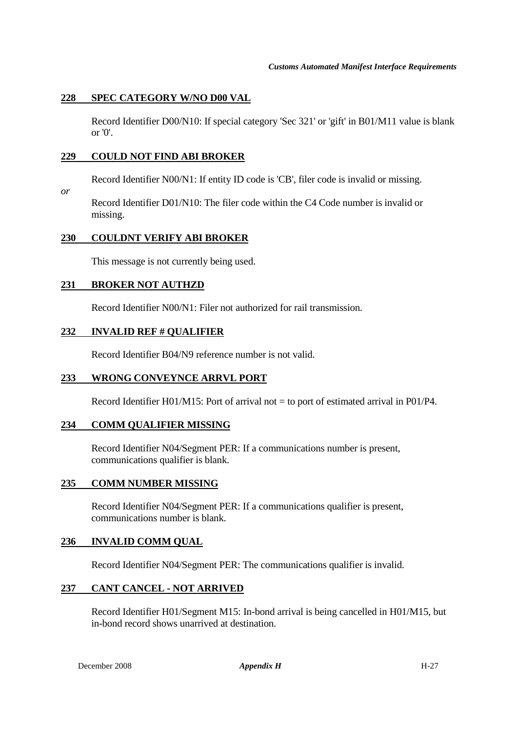#### **228 SPEC CATEGORY W/NO D00 VAL**

Record Identifier D00/N10: If special category 'Sec 321' or 'gift' in B01/M11 value is blank or  $'0'$ .

#### **229 COULD NOT FIND ABI BROKER**

Record Identifier N00/N1: If entity ID code is 'CB', filer code is invalid or missing.

Record Identifier D01/N10: The filer code within the C4 Code number is invalid or missing.

# **230 COULDNT VERIFY ABI BROKER**

This message is not currently being used.

# **231 BROKER NOT AUTHZD**

*or* 

Record Identifier N00/N1: Filer not authorized for rail transmission.

# **232 INVALID REF # QUALIFIER**

Record Identifier B04/N9 reference number is not valid.

#### **233 WRONG CONVEYNCE ARRVL PORT**

Record Identifier H01/M15: Port of arrival not  $=$  to port of estimated arrival in P01/P4.

#### **234 COMM QUALIFIER MISSING**

Record Identifier N04/Segment PER: If a communications number is present, communications qualifier is blank.

#### **235 COMM NUMBER MISSING**

Record Identifier N04/Segment PER: If a communications qualifier is present, communications number is blank.

#### **236 INVALID COMM QUAL**

Record Identifier N04/Segment PER: The communications qualifier is invalid.

#### **237 CANT CANCEL - NOT ARRIVED**

Record Identifier H01/Segment M15: In-bond arrival is being cancelled in H01/M15, but in-bond record shows unarrived at destination.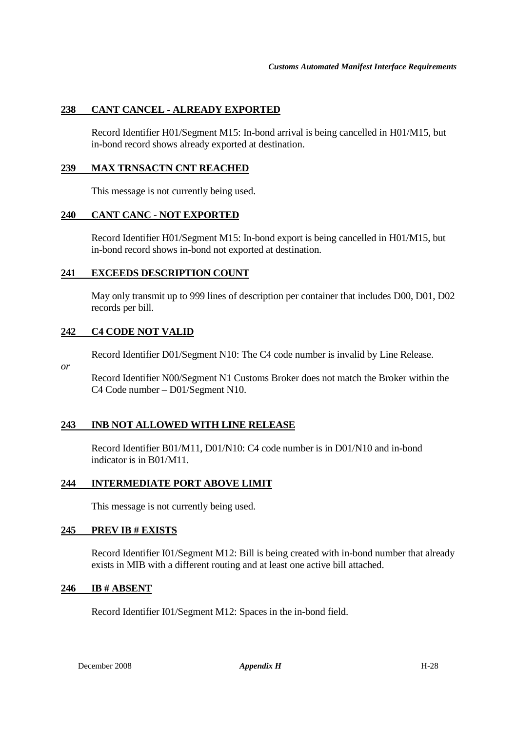# **238 CANT CANCEL - ALREADY EXPORTED**

Record Identifier H01/Segment M15: In-bond arrival is being cancelled in H01/M15, but in-bond record shows already exported at destination.

#### **239 MAX TRNSACTN CNT REACHED**

This message is not currently being used.

# **240 CANT CANC - NOT EXPORTED**

Record Identifier H01/Segment M15: In-bond export is being cancelled in H01/M15, but in-bond record shows in-bond not exported at destination.

#### **241 EXCEEDS DESCRIPTION COUNT**

May only transmit up to 999 lines of description per container that includes D00, D01, D02 records per bill.

#### **242 C4 CODE NOT VALID**

Record Identifier D01/Segment N10: The C4 code number is invalid by Line Release.

*or* 

Record Identifier N00/Segment N1 Customs Broker does not match the Broker within the C4 Code number – D01/Segment N10.

#### **243 INB NOT ALLOWED WITH LINE RELEASE**

Record Identifier B01/M11, D01/N10: C4 code number is in D01/N10 and in-bond indicator is in B01/M11.

#### **244 INTERMEDIATE PORT ABOVE LIMIT**

This message is not currently being used.

#### **245 PREV IB # EXISTS**

Record Identifier I01/Segment M12: Bill is being created with in-bond number that already exists in MIB with a different routing and at least one active bill attached.

#### **246 IB # ABSENT**

Record Identifier I01/Segment M12: Spaces in the in-bond field.

December 2008 *Appendix H* H-28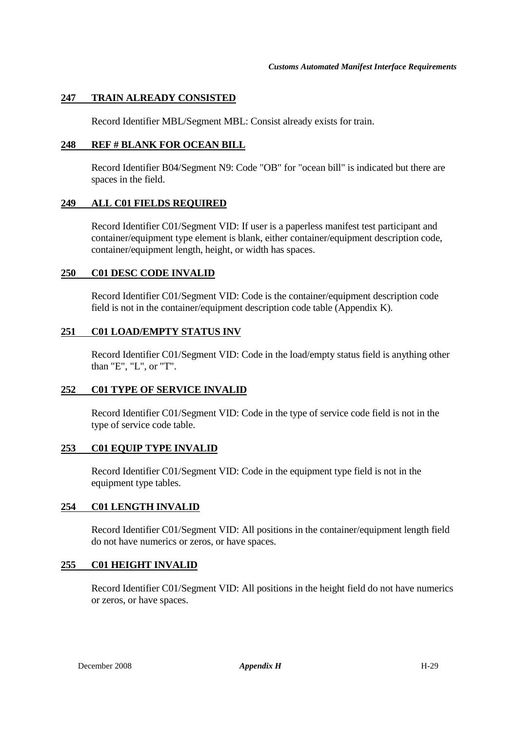# **247 TRAIN ALREADY CONSISTED**

Record Identifier MBL/Segment MBL: Consist already exists for train.

# **248 REF # BLANK FOR OCEAN BILL**

Record Identifier B04/Segment N9: Code "OB" for "ocean bill" is indicated but there are spaces in the field.

# **249 ALL C01 FIELDS REQUIRED**

Record Identifier C01/Segment VID: If user is a paperless manifest test participant and container/equipment type element is blank, either container/equipment description code, container/equipment length, height, or width has spaces.

#### **250 C01 DESC CODE INVALID**

Record Identifier C01/Segment VID: Code is the container/equipment description code field is not in the container/equipment description code table (Appendix K).

#### **251 C01 LOAD/EMPTY STATUS INV**

Record Identifier C01/Segment VID: Code in the load/empty status field is anything other than "E", "L", or "T".

#### **252 C01 TYPE OF SERVICE INVALID**

Record Identifier C01/Segment VID: Code in the type of service code field is not in the type of service code table.

#### **253 C01 EQUIP TYPE INVALID**

Record Identifier C01/Segment VID: Code in the equipment type field is not in the equipment type tables.

#### **254 C01 LENGTH INVALID**

Record Identifier C01/Segment VID: All positions in the container/equipment length field do not have numerics or zeros, or have spaces.

#### **255 C01 HEIGHT INVALID**

Record Identifier C01/Segment VID: All positions in the height field do not have numerics or zeros, or have spaces.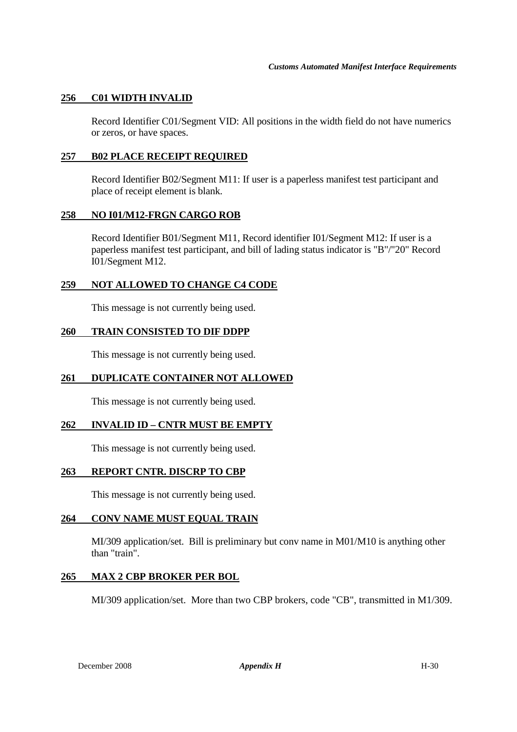# **256 C01 WIDTH INVALID**

Record Identifier C01/Segment VID: All positions in the width field do not have numerics or zeros, or have spaces.

#### **257 B02 PLACE RECEIPT REQUIRED**

Record Identifier B02/Segment M11: If user is a paperless manifest test participant and place of receipt element is blank.

#### **258 NO I01/M12-FRGN CARGO ROB**

Record Identifier B01/Segment M11, Record identifier I01/Segment M12: If user is a paperless manifest test participant, and bill of lading status indicator is "B"/"20" Record I01/Segment M12.

# **259 NOT ALLOWED TO CHANGE C4 CODE**

This message is not currently being used.

# **260 TRAIN CONSISTED TO DIF DDPP**

This message is not currently being used.

# **261 DUPLICATE CONTAINER NOT ALLOWED**

This message is not currently being used.

# **262 INVALID ID – CNTR MUST BE EMPTY**

This message is not currently being used.

#### **263 REPORT CNTR. DISCRP TO CBP**

This message is not currently being used.

#### **264 CONV NAME MUST EQUAL TRAIN**

MI/309 application/set. Bill is preliminary but conv name in M01/M10 is anything other than "train".

#### **265 MAX 2 CBP BROKER PER BOL**

MI/309 application/set. More than two CBP brokers, code "CB", transmitted in M1/309.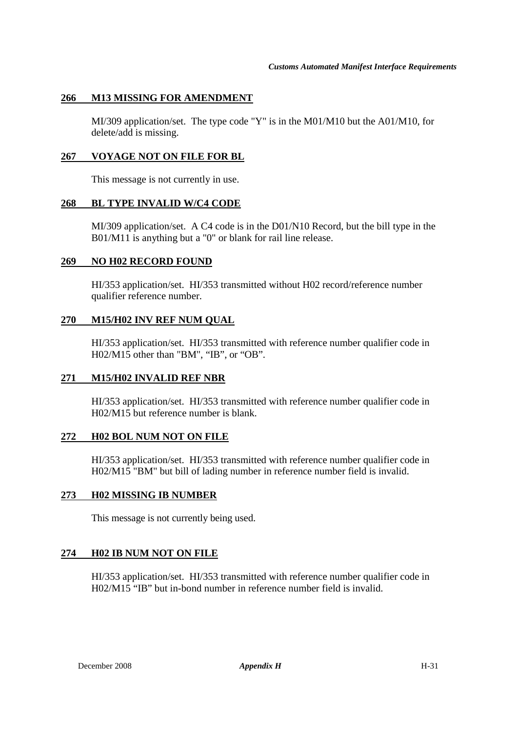# **266 M13 MISSING FOR AMENDMENT**

MI/309 application/set. The type code "Y" is in the M01/M10 but the A01/M10, for delete/add is missing.

#### **267 VOYAGE NOT ON FILE FOR BL**

This message is not currently in use.

#### **268 BL TYPE INVALID W/C4 CODE**

MI/309 application/set. A C4 code is in the D01/N10 Record, but the bill type in the B01/M11 is anything but a "0" or blank for rail line release.

#### **269 NO H02 RECORD FOUND**

HI/353 application/set. HI/353 transmitted without H02 record/reference number qualifier reference number.

#### **270 M15/H02 INV REF NUM QUAL**

HI/353 application/set. HI/353 transmitted with reference number qualifier code in H02/M15 other than "BM", "IB", or "OB".

#### **271 M15/H02 INVALID REF NBR**

HI/353 application/set. HI/353 transmitted with reference number qualifier code in H02/M15 but reference number is blank.

#### **272 H02 BOL NUM NOT ON FILE**

HI/353 application/set. HI/353 transmitted with reference number qualifier code in H02/M15 "BM" but bill of lading number in reference number field is invalid.

#### **273 H02 MISSING IB NUMBER**

This message is not currently being used.

#### **274 H02 IB NUM NOT ON FILE**

HI/353 application/set. HI/353 transmitted with reference number qualifier code in H02/M15 "IB" but in-bond number in reference number field is invalid.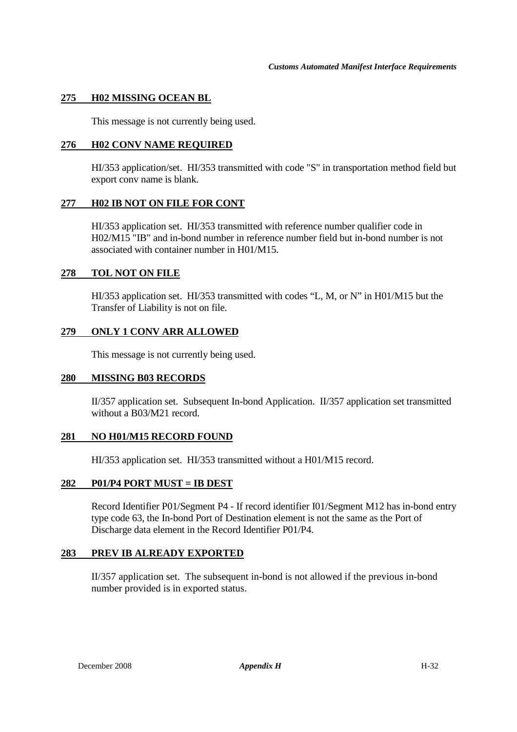#### **275 H02 MISSING OCEAN BL**

This message is not currently being used.

#### **276 H02 CONV NAME REQUIRED**

HI/353 application/set. HI/353 transmitted with code "S" in transportation method field but export conv name is blank.

#### **277 H02 IB NOT ON FILE FOR CONT**

HI/353 application set. HI/353 transmitted with reference number qualifier code in H02/M15 "IB" and in-bond number in reference number field but in-bond number is not associated with container number in H01/M15.

#### **278 TOL NOT ON FILE**

HI/353 application set. HI/353 transmitted with codes "L, M, or N" in H01/M15 but the Transfer of Liability is not on file.

# **279 ONLY 1 CONV ARR ALLOWED**

This message is not currently being used.

#### **280 MISSING B03 RECORDS**

II/357 application set. Subsequent In-bond Application. II/357 application set transmitted without a B03/M21 record.

#### **281 NO H01/M15 RECORD FOUND**

HI/353 application set. HI/353 transmitted without a H01/M15 record.

#### **282 P01/P4 PORT MUST = IB DEST**

Record Identifier P01/Segment P4 - If record identifier I01/Segment M12 has in-bond entry type code 63, the In-bond Port of Destination element is not the same as the Port of Discharge data element in the Record Identifier P01/P4.

#### **283 PREV IB ALREADY EXPORTED**

 II/357 application set. The subsequent in-bond is not allowed if the previous in-bond number provided is in exported status.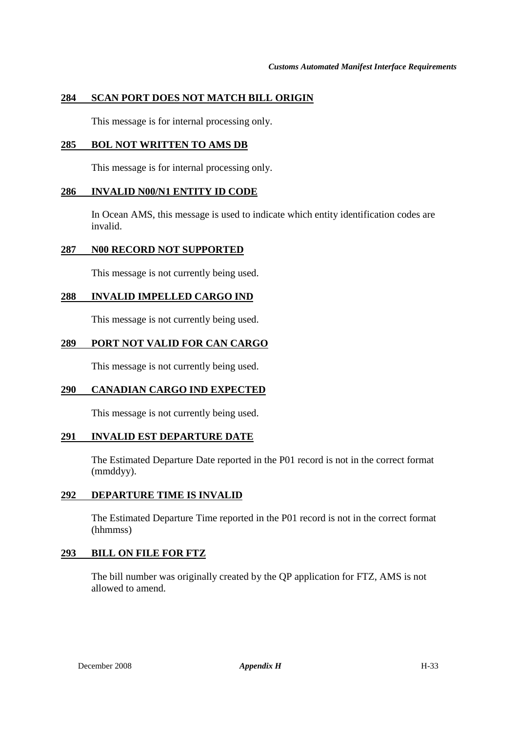# **284 SCAN PORT DOES NOT MATCH BILL ORIGIN**

This message is for internal processing only.

# **285 BOL NOT WRITTEN TO AMS DB**

This message is for internal processing only.

# **286 INVALID N00/N1 ENTITY ID CODE**

 In Ocean AMS, this message is used to indicate which entity identification codes are invalid.

# **287 N00 RECORD NOT SUPPORTED**

This message is not currently being used.

# **288 INVALID IMPELLED CARGO IND**

This message is not currently being used.

# **289 PORT NOT VALID FOR CAN CARGO**

This message is not currently being used.

# **290 CANADIAN CARGO IND EXPECTED**

This message is not currently being used.

#### **291 INVALID EST DEPARTURE DATE**

 The Estimated Departure Date reported in the P01 record is not in the correct format (mmddyy).

#### **292 DEPARTURE TIME IS INVALID**

 The Estimated Departure Time reported in the P01 record is not in the correct format (hhmmss)

#### **293 BILL ON FILE FOR FTZ**

 The bill number was originally created by the QP application for FTZ, AMS is not allowed to amend.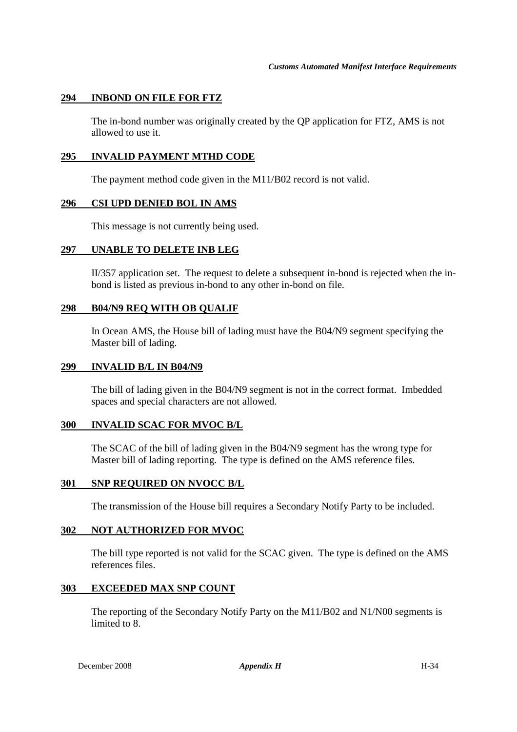# **294 INBOND ON FILE FOR FTZ**

 The in-bond number was originally created by the QP application for FTZ, AMS is not allowed to use it.

#### **295 INVALID PAYMENT MTHD CODE**

The payment method code given in the M11/B02 record is not valid.

#### **296 CSI UPD DENIED BOL IN AMS**

This message is not currently being used.

#### **297 UNABLE TO DELETE INB LEG**

 II/357 application set. The request to delete a subsequent in-bond is rejected when the inbond is listed as previous in-bond to any other in-bond on file.

#### **298 B04/N9 REQ WITH OB QUALIF**

 In Ocean AMS, the House bill of lading must have the B04/N9 segment specifying the Master bill of lading.

#### **299 INVALID B/L IN B04/N9**

 The bill of lading given in the B04/N9 segment is not in the correct format. Imbedded spaces and special characters are not allowed.

#### **300 INVALID SCAC FOR MVOC B/L**

 The SCAC of the bill of lading given in the B04/N9 segment has the wrong type for Master bill of lading reporting. The type is defined on the AMS reference files.

#### **301 SNP REQUIRED ON NVOCC B/L**

The transmission of the House bill requires a Secondary Notify Party to be included.

#### **302 NOT AUTHORIZED FOR MVOC**

 The bill type reported is not valid for the SCAC given. The type is defined on the AMS references files.

#### **303 EXCEEDED MAX SNP COUNT**

 The reporting of the Secondary Notify Party on the M11/B02 and N1/N00 segments is limited to 8.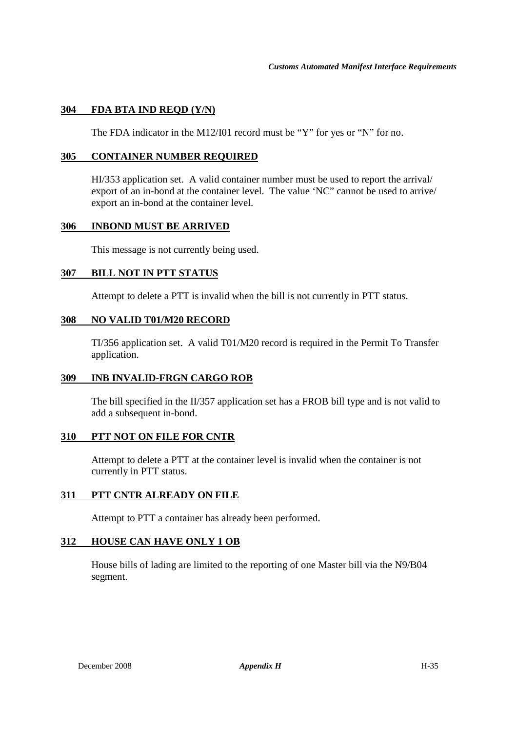# **304 FDA BTA IND REQD (Y/N)**

The FDA indicator in the M12/I01 record must be "Y" for yes or "N" for no.

#### **305 CONTAINER NUMBER REQUIRED**

 HI/353 application set. A valid container number must be used to report the arrival/ export of an in-bond at the container level. The value 'NC" cannot be used to arrive/ export an in-bond at the container level.

#### **306 INBOND MUST BE ARRIVED**

This message is not currently being used.

#### **307 BILL NOT IN PTT STATUS**

Attempt to delete a PTT is invalid when the bill is not currently in PTT status.

#### **308 NO VALID T01/M20 RECORD**

 TI/356 application set. A valid T01/M20 record is required in the Permit To Transfer application.

# **309 INB INVALID-FRGN CARGO ROB**

 The bill specified in the II/357 application set has a FROB bill type and is not valid to add a subsequent in-bond.

#### **310 PTT NOT ON FILE FOR CNTR**

 Attempt to delete a PTT at the container level is invalid when the container is not currently in PTT status.

#### **311 PTT CNTR ALREADY ON FILE**

Attempt to PTT a container has already been performed.

#### **312 HOUSE CAN HAVE ONLY 1 OB**

 House bills of lading are limited to the reporting of one Master bill via the N9/B04 segment.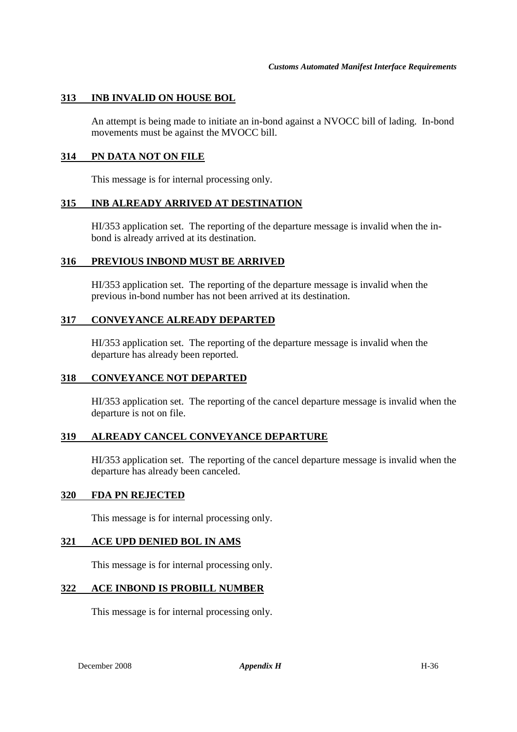#### **313 INB INVALID ON HOUSE BOL**

 An attempt is being made to initiate an in-bond against a NVOCC bill of lading. In-bond movements must be against the MVOCC bill.

#### **314 PN DATA NOT ON FILE**

This message is for internal processing only.

#### **315 INB ALREADY ARRIVED AT DESTINATION**

 HI/353 application set. The reporting of the departure message is invalid when the inbond is already arrived at its destination.

#### **316 PREVIOUS INBOND MUST BE ARRIVED**

 HI/353 application set. The reporting of the departure message is invalid when the previous in-bond number has not been arrived at its destination.

#### **317 CONVEYANCE ALREADY DEPARTED**

 HI/353 application set. The reporting of the departure message is invalid when the departure has already been reported.

#### **318 CONVEYANCE NOT DEPARTED**

 HI/353 application set. The reporting of the cancel departure message is invalid when the departure is not on file.

#### **319 ALREADY CANCEL CONVEYANCE DEPARTURE**

 HI/353 application set. The reporting of the cancel departure message is invalid when the departure has already been canceled.

#### **320 FDA PN REJECTED**

This message is for internal processing only.

#### **321 ACE UPD DENIED BOL IN AMS**

This message is for internal processing only.

#### **322 ACE INBOND IS PROBILL NUMBER**

This message is for internal processing only.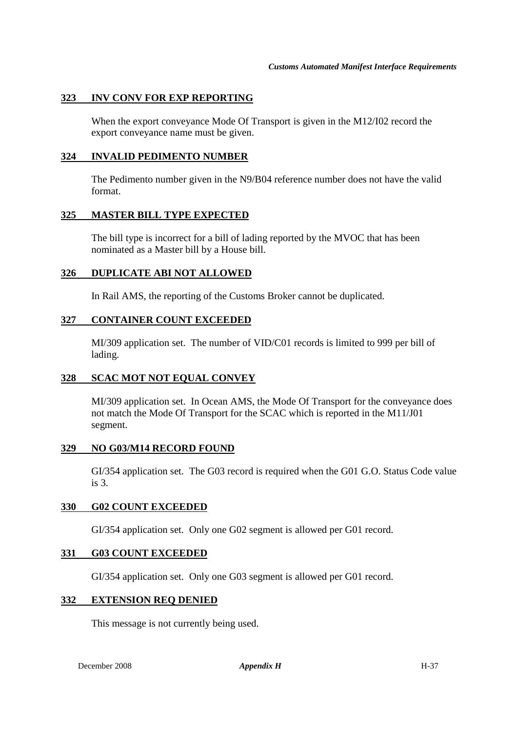# **323 INV CONV FOR EXP REPORTING**

 When the export conveyance Mode Of Transport is given in the M12/I02 record the export conveyance name must be given.

#### **324 INVALID PEDIMENTO NUMBER**

 The Pedimento number given in the N9/B04 reference number does not have the valid format.

#### **325 MASTER BILL TYPE EXPECTED**

 The bill type is incorrect for a bill of lading reported by the MVOC that has been nominated as a Master bill by a House bill.

# **326 DUPLICATE ABI NOT ALLOWED**

In Rail AMS, the reporting of the Customs Broker cannot be duplicated.

# **327 CONTAINER COUNT EXCEEDED**

 MI/309 application set. The number of VID/C01 records is limited to 999 per bill of lading.

# **328 SCAC MOT NOT EQUAL CONVEY**

 MI/309 application set. In Ocean AMS, the Mode Of Transport for the conveyance does not match the Mode Of Transport for the SCAC which is reported in the M11/J01 segment.

# **329 NO G03/M14 RECORD FOUND**

 GI/354 application set. The G03 record is required when the G01 G.O. Status Code value is 3.

#### **330 G02 COUNT EXCEEDED**

GI/354 application set. Only one G02 segment is allowed per G01 record.

# **331 G03 COUNT EXCEEDED**

GI/354 application set. Only one G03 segment is allowed per G01 record.

#### **332 EXTENSION REQ DENIED**

This message is not currently being used.

**December 2008** *Appendix H* H-37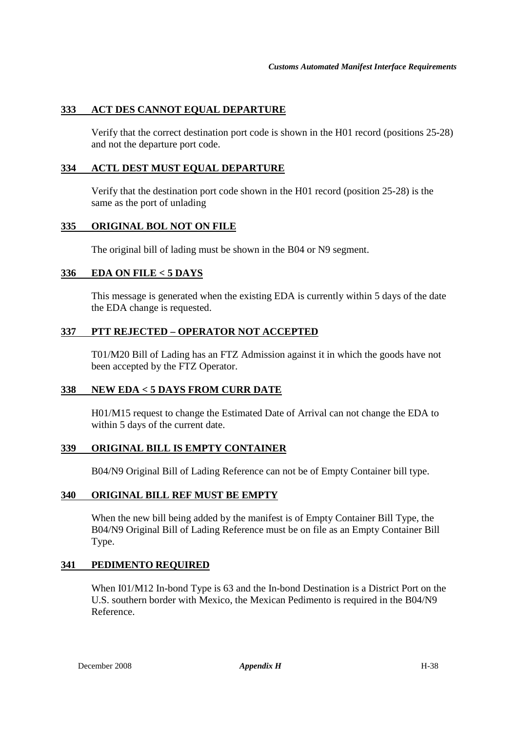# **333 ACT DES CANNOT EQUAL DEPARTURE**

Verify that the correct destination port code is shown in the H01 record (positions 25-28) and not the departure port code.

#### **334 ACTL DEST MUST EQUAL DEPARTURE**

Verify that the destination port code shown in the H01 record (position 25-28) is the same as the port of unlading

# **335 ORIGINAL BOL NOT ON FILE**

The original bill of lading must be shown in the B04 or N9 segment.

# **336 EDA ON FILE < 5 DAYS**

This message is generated when the existing EDA is currently within 5 days of the date the EDA change is requested.

# **337 PTT REJECTED – OPERATOR NOT ACCEPTED**

 T01/M20 Bill of Lading has an FTZ Admission against it in which the goods have not been accepted by the FTZ Operator.

#### **338 NEW EDA < 5 DAYS FROM CURR DATE**

 H01/M15 request to change the Estimated Date of Arrival can not change the EDA to within 5 days of the current date.

#### **339 ORIGINAL BILL IS EMPTY CONTAINER**

B04/N9 Original Bill of Lading Reference can not be of Empty Container bill type.

#### **340 ORIGINAL BILL REF MUST BE EMPTY**

When the new bill being added by the manifest is of Empty Container Bill Type, the B04/N9 Original Bill of Lading Reference must be on file as an Empty Container Bill Type.

#### **341 PEDIMENTO REQUIRED**

When I01/M12 In-bond Type is 63 and the In-bond Destination is a District Port on the U.S. southern border with Mexico, the Mexican Pedimento is required in the B04/N9 Reference.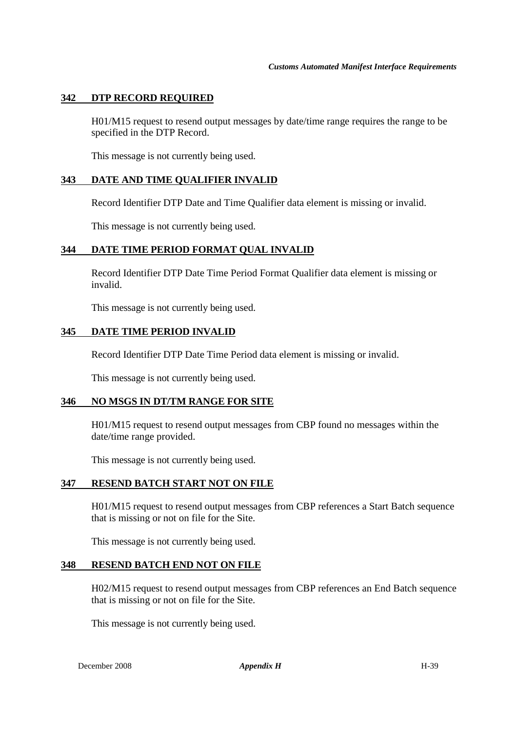#### **342 DTP RECORD REQUIRED**

H01/M15 request to resend output messages by date/time range requires the range to be specified in the DTP Record.

This message is not currently being used.

#### **343 DATE AND TIME QUALIFIER INVALID**

Record Identifier DTP Date and Time Qualifier data element is missing or invalid.

This message is not currently being used.

#### **344 DATE TIME PERIOD FORMAT QUAL INVALID**

Record Identifier DTP Date Time Period Format Qualifier data element is missing or invalid.

This message is not currently being used.

#### **345 DATE TIME PERIOD INVALID**

Record Identifier DTP Date Time Period data element is missing or invalid.

This message is not currently being used.

#### **346 NO MSGS IN DT/TM RANGE FOR SITE**

H01/M15 request to resend output messages from CBP found no messages within the date/time range provided.

This message is not currently being used.

# **347 RESEND BATCH START NOT ON FILE**

H01/M15 request to resend output messages from CBP references a Start Batch sequence that is missing or not on file for the Site.

This message is not currently being used.

#### **348 RESEND BATCH END NOT ON FILE**

H02/M15 request to resend output messages from CBP references an End Batch sequence that is missing or not on file for the Site.

This message is not currently being used.

December 2008 *Appendix H* H-39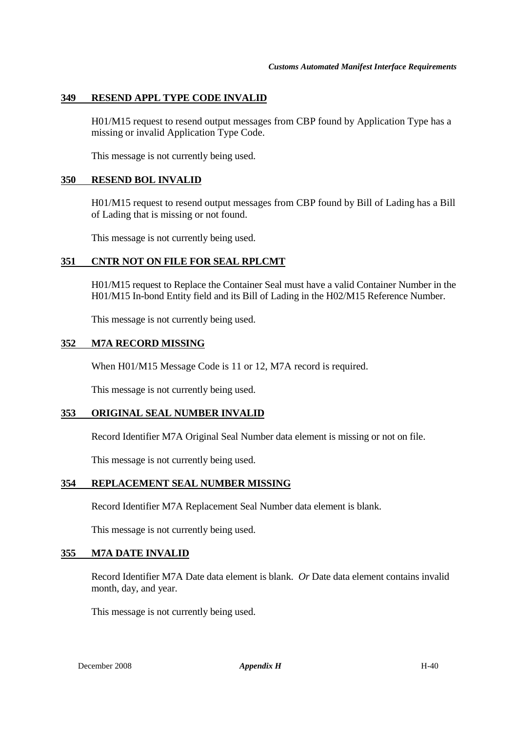# **349 RESEND APPL TYPE CODE INVALID**

H01/M15 request to resend output messages from CBP found by Application Type has a missing or invalid Application Type Code.

This message is not currently being used.

#### **350 RESEND BOL INVALID**

H01/M15 request to resend output messages from CBP found by Bill of Lading has a Bill of Lading that is missing or not found.

This message is not currently being used.

#### **351 CNTR NOT ON FILE FOR SEAL RPLCMT**

H01/M15 request to Replace the Container Seal must have a valid Container Number in the H01/M15 In-bond Entity field and its Bill of Lading in the H02/M15 Reference Number.

This message is not currently being used.

#### **352 M7A RECORD MISSING**

When H01/M15 Message Code is 11 or 12, M7A record is required.

This message is not currently being used.

#### **353 ORIGINAL SEAL NUMBER INVALID**

Record Identifier M7A Original Seal Number data element is missing or not on file.

This message is not currently being used.

#### **354 REPLACEMENT SEAL NUMBER MISSING**

Record Identifier M7A Replacement Seal Number data element is blank.

This message is not currently being used.

#### **355 M7A DATE INVALID**

Record Identifier M7A Date data element is blank. *Or* Date data element contains invalid month, day, and year.

This message is not currently being used.

December 2008 **Appendix H** H-40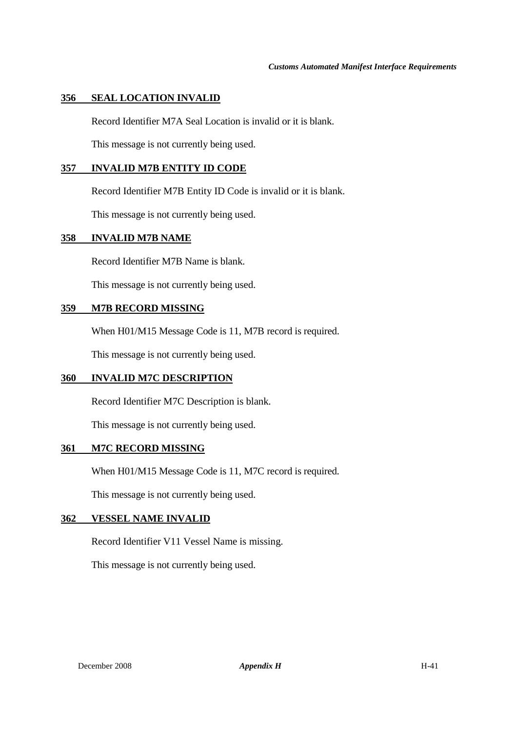# **356 SEAL LOCATION INVALID**

Record Identifier M7A Seal Location is invalid or it is blank.

This message is not currently being used.

#### **357 INVALID M7B ENTITY ID CODE**

Record Identifier M7B Entity ID Code is invalid or it is blank.

This message is not currently being used.

#### **358 INVALID M7B NAME**

Record Identifier M7B Name is blank.

This message is not currently being used.

#### **359 M7B RECORD MISSING**

When H01/M15 Message Code is 11, M7B record is required.

This message is not currently being used.

#### **360 INVALID M7C DESCRIPTION**

Record Identifier M7C Description is blank.

This message is not currently being used.

#### **361 M7C RECORD MISSING**

When H01/M15 Message Code is 11, M7C record is required.

This message is not currently being used.

#### **362 VESSEL NAME INVALID**

Record Identifier V11 Vessel Name is missing.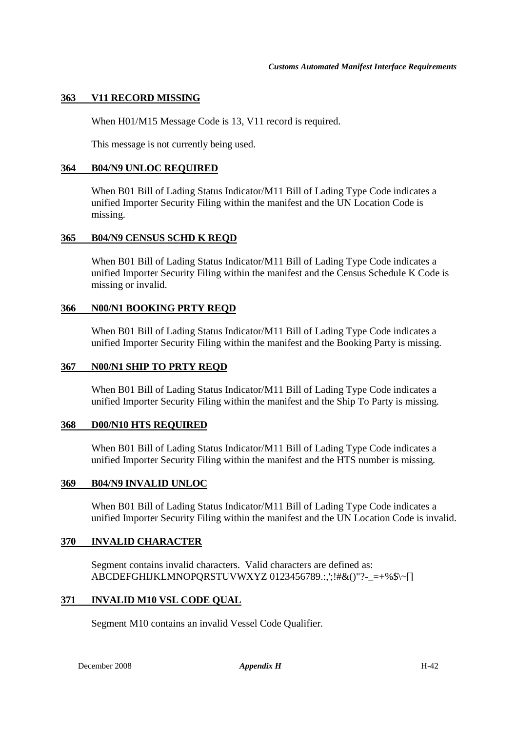# **363 V11 RECORD MISSING**

When H01/M15 Message Code is 13, V11 record is required.

This message is not currently being used.

#### **364 B04/N9 UNLOC REQUIRED**

When B01 Bill of Lading Status Indicator/M11 Bill of Lading Type Code indicates a unified Importer Security Filing within the manifest and the UN Location Code is missing.

#### **365 B04/N9 CENSUS SCHD K REQD**

When B01 Bill of Lading Status Indicator/M11 Bill of Lading Type Code indicates a unified Importer Security Filing within the manifest and the Census Schedule K Code is missing or invalid.

#### **366 N00/N1 BOOKING PRTY REQD**

When B01 Bill of Lading Status Indicator/M11 Bill of Lading Type Code indicates a unified Importer Security Filing within the manifest and the Booking Party is missing.

#### **367 N00/N1 SHIP TO PRTY REQD**

When B01 Bill of Lading Status Indicator/M11 Bill of Lading Type Code indicates a unified Importer Security Filing within the manifest and the Ship To Party is missing.

#### **368 D00/N10 HTS REQUIRED**

When B01 Bill of Lading Status Indicator/M11 Bill of Lading Type Code indicates a unified Importer Security Filing within the manifest and the HTS number is missing.

#### **369 B04/N9 INVALID UNLOC**

When B01 Bill of Lading Status Indicator/M11 Bill of Lading Type Code indicates a unified Importer Security Filing within the manifest and the UN Location Code is invalid.

#### **370 INVALID CHARACTER**

Segment contains invalid characters. Valid characters are defined as: ABCDEFGHIJKLMNOPQRSTUVWXYZ 0123456789.:,';!#&()"?-\_=+%\$\~[]

#### **371 INVALID M10 VSL CODE QUAL**

Segment M10 contains an invalid Vessel Code Qualifier.

December 2008 *Appendix H* H-42